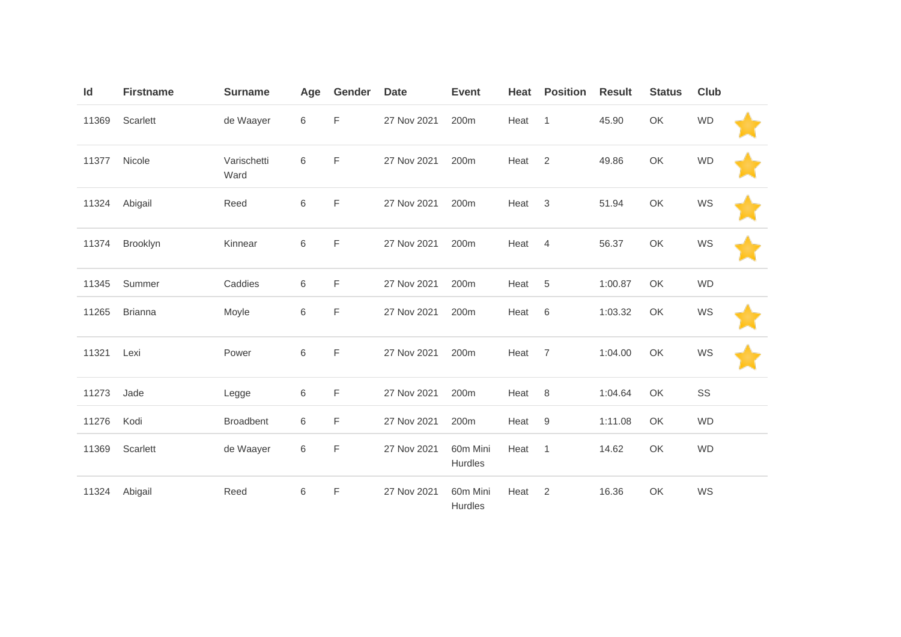| ld    | <b>Firstname</b> | <b>Surname</b>      | Age | Gender | <b>Date</b> | <b>Event</b>        | Heat | <b>Position</b> | <b>Result</b> | <b>Status</b> | <b>Club</b> |  |
|-------|------------------|---------------------|-----|--------|-------------|---------------------|------|-----------------|---------------|---------------|-------------|--|
| 11369 | Scarlett         | de Waayer           | 6   | F      | 27 Nov 2021 | 200m                | Heat | $\overline{1}$  | 45.90         | OK            | <b>WD</b>   |  |
| 11377 | Nicole           | Varischetti<br>Ward | 6   | F      | 27 Nov 2021 | 200m                | Heat | $\overline{2}$  | 49.86         | OK            | <b>WD</b>   |  |
| 11324 | Abigail          | Reed                | 6   | F      | 27 Nov 2021 | 200m                | Heat | 3               | 51.94         | OK            | WS          |  |
| 11374 | Brooklyn         | Kinnear             | 6   | F      | 27 Nov 2021 | 200m                | Heat | $\overline{4}$  | 56.37         | OK            | WS          |  |
| 11345 | Summer           | Caddies             | 6   | F      | 27 Nov 2021 | 200m                | Heat | 5               | 1:00.87       | OK            | <b>WD</b>   |  |
| 11265 | <b>Brianna</b>   | Moyle               | 6   | F      | 27 Nov 2021 | 200m                | Heat | 6               | 1:03.32       | OK            | WS          |  |
| 11321 | Lexi             | Power               | 6   | F      | 27 Nov 2021 | 200 <sub>m</sub>    | Heat | $\overline{7}$  | 1:04.00       | OK            | WS          |  |
| 11273 | Jade             | Legge               | 6   | F      | 27 Nov 2021 | 200m                | Heat | 8               | 1:04.64       | OK            | SS          |  |
| 11276 | Kodi             | <b>Broadbent</b>    | 6   | F      | 27 Nov 2021 | 200m                | Heat | 9               | 1:11.08       | OK            | WD          |  |
| 11369 | Scarlett         | de Waayer           | 6   | F      | 27 Nov 2021 | 60m Mini<br>Hurdles | Heat | $\overline{1}$  | 14.62         | OK            | <b>WD</b>   |  |
| 11324 | Abigail          | Reed                | 6   | F      | 27 Nov 2021 | 60m Mini<br>Hurdles | Heat | 2               | 16.36         | OK            | WS          |  |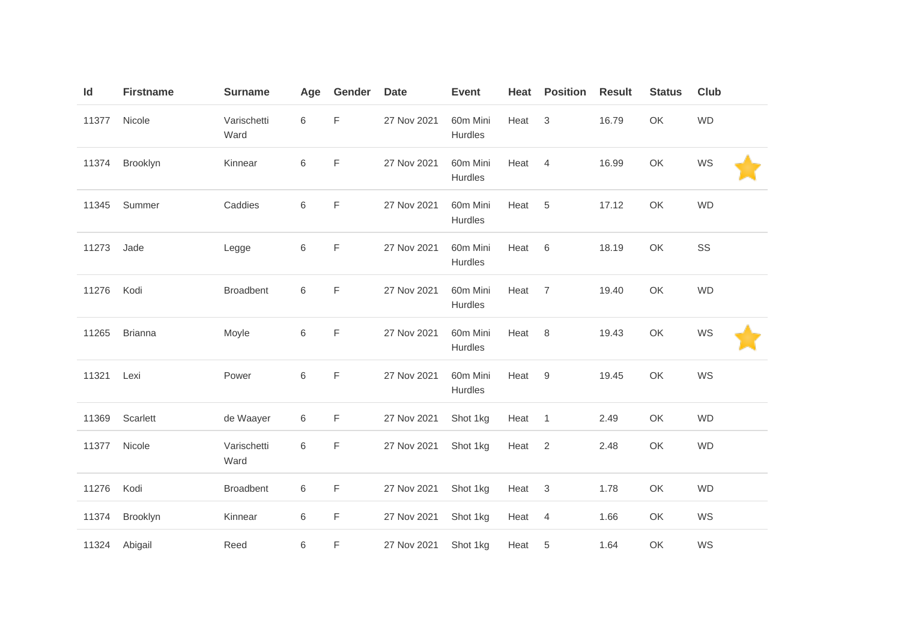| Id    | <b>Firstname</b> | <b>Surname</b>      | Age     | Gender      | <b>Date</b> | <b>Event</b>        | Heat | <b>Position</b>           | <b>Result</b> | <b>Status</b> | <b>Club</b> |  |
|-------|------------------|---------------------|---------|-------------|-------------|---------------------|------|---------------------------|---------------|---------------|-------------|--|
| 11377 | Nicole           | Varischetti<br>Ward | $\,6$   | $\mathsf F$ | 27 Nov 2021 | 60m Mini<br>Hurdles | Heat | $\ensuremath{\mathsf{3}}$ | 16.79         | OK            | <b>WD</b>   |  |
| 11374 | Brooklyn         | Kinnear             | $\,6$   | F           | 27 Nov 2021 | 60m Mini<br>Hurdles | Heat | $\overline{4}$            | 16.99         | OK            | WS          |  |
| 11345 | Summer           | Caddies             | $\,6\,$ | F           | 27 Nov 2021 | 60m Mini<br>Hurdles | Heat | 5                         | 17.12         | OK            | <b>WD</b>   |  |
| 11273 | Jade             | Legge               | $\,6\,$ | F           | 27 Nov 2021 | 60m Mini<br>Hurdles | Heat | 6                         | 18.19         | OK            | SS          |  |
| 11276 | Kodi             | <b>Broadbent</b>    | 6       | F           | 27 Nov 2021 | 60m Mini<br>Hurdles | Heat | 7                         | 19.40         | OK            | <b>WD</b>   |  |
| 11265 | <b>Brianna</b>   | Moyle               | 6       | F           | 27 Nov 2021 | 60m Mini<br>Hurdles | Heat | 8                         | 19.43         | OK            | WS          |  |
| 11321 | Lexi             | Power               | $\,6$   | F           | 27 Nov 2021 | 60m Mini<br>Hurdles | Heat | 9                         | 19.45         | OK            | WS          |  |
| 11369 | Scarlett         | de Waayer           | 6       | F           | 27 Nov 2021 | Shot 1kg            | Heat | $\mathbf{1}$              | 2.49          | OK            | <b>WD</b>   |  |
| 11377 | Nicole           | Varischetti<br>Ward | 6       | F           | 27 Nov 2021 | Shot 1kg            | Heat | $\overline{2}$            | 2.48          | OK            | <b>WD</b>   |  |
| 11276 | Kodi             | <b>Broadbent</b>    | 6       | F           | 27 Nov 2021 | Shot 1kg            | Heat | $\mathbf{3}$              | 1.78          | OK            | <b>WD</b>   |  |
| 11374 | Brooklyn         | Kinnear             | 6       | F           | 27 Nov 2021 | Shot 1kg            | Heat | $\overline{4}$            | 1.66          | OK            | WS          |  |
| 11324 | Abigail          | Reed                | 6       | F           | 27 Nov 2021 | Shot 1kg            | Heat | 5                         | 1.64          | OK            | WS          |  |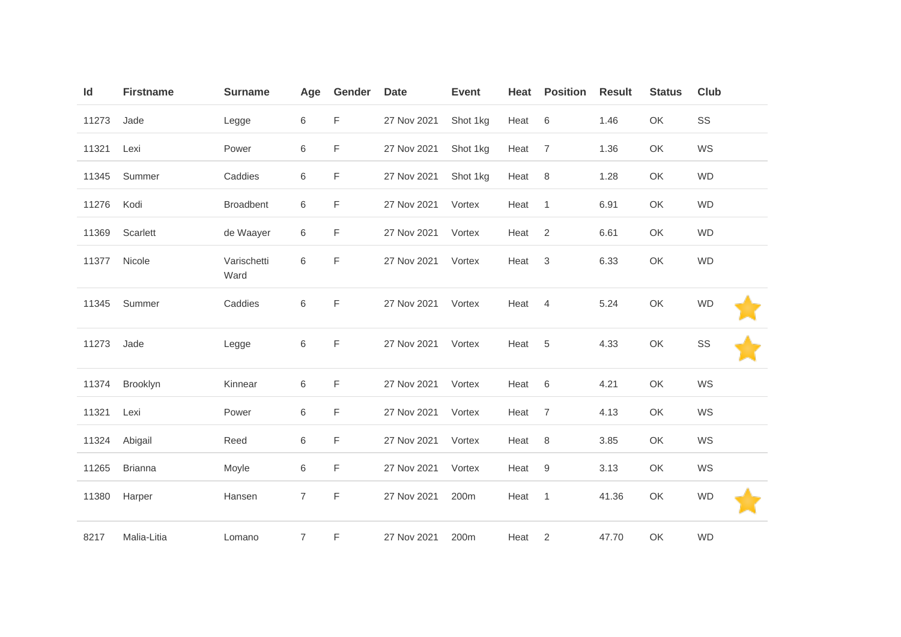| Id    | <b>Firstname</b> | <b>Surname</b>      | Age            | Gender      | <b>Date</b> | <b>Event</b> | Heat | <b>Position</b> | <b>Result</b> | <b>Status</b> | Club      |
|-------|------------------|---------------------|----------------|-------------|-------------|--------------|------|-----------------|---------------|---------------|-----------|
| 11273 | Jade             | Legge               | 6              | F           | 27 Nov 2021 | Shot 1kg     | Heat | 6               | 1.46          | OK            | SS        |
| 11321 | Lexi             | Power               | 6              | F           | 27 Nov 2021 | Shot 1kg     | Heat | $\overline{7}$  | 1.36          | OK            | WS        |
| 11345 | Summer           | Caddies             | $\,6$          | F           | 27 Nov 2021 | Shot 1kg     | Heat | 8               | 1.28          | OK            | <b>WD</b> |
| 11276 | Kodi             | <b>Broadbent</b>    | 6              | F           | 27 Nov 2021 | Vortex       | Heat | $\overline{1}$  | 6.91          | OK            | <b>WD</b> |
| 11369 | Scarlett         | de Waayer           | 6              | F           | 27 Nov 2021 | Vortex       | Heat | $\overline{2}$  | 6.61          | OK            | <b>WD</b> |
| 11377 | Nicole           | Varischetti<br>Ward | $\,6$          | F           | 27 Nov 2021 | Vortex       | Heat | 3               | 6.33          | OK            | <b>WD</b> |
| 11345 | Summer           | Caddies             | 6              | F           | 27 Nov 2021 | Vortex       | Heat | 4               | 5.24          | OK            | <b>WD</b> |
| 11273 | Jade             | Legge               | $\,6$          | $\mathsf F$ | 27 Nov 2021 | Vortex       | Heat | 5               | 4.33          | OK            | SS        |
| 11374 | Brooklyn         | Kinnear             | 6              | F           | 27 Nov 2021 | Vortex       | Heat | 6               | 4.21          | OK            | WS        |
| 11321 | Lexi             | Power               | $\,6$          | F           | 27 Nov 2021 | Vortex       | Heat | $\overline{7}$  | 4.13          | OK            | WS        |
| 11324 | Abigail          | Reed                | 6              | F           | 27 Nov 2021 | Vortex       | Heat | 8               | 3.85          | OK            | WS        |
| 11265 | <b>Brianna</b>   | Moyle               | 6              | F           | 27 Nov 2021 | Vortex       | Heat | 9               | 3.13          | OK            | WS        |
| 11380 | Harper           | Hansen              | $\overline{7}$ | F           | 27 Nov 2021 | 200m         | Heat | $\overline{1}$  | 41.36         | OK            | <b>WD</b> |
| 8217  | Malia-Litia      | Lomano              | 7              | F           | 27 Nov 2021 | 200m         | Heat | $\overline{2}$  | 47.70         | OK            | <b>WD</b> |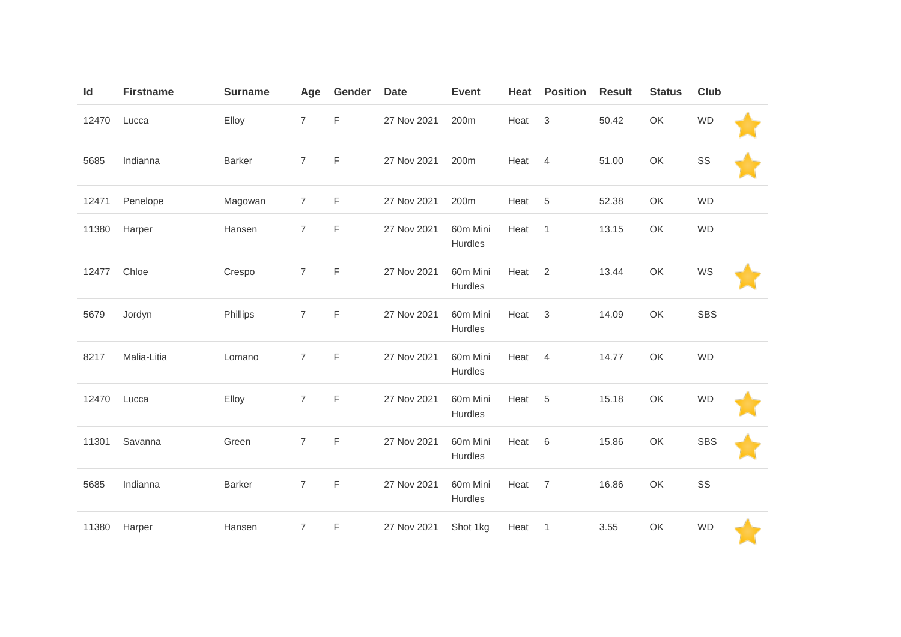| Id    | <b>Firstname</b> | <b>Surname</b> | Age            | Gender      | <b>Date</b> | <b>Event</b>        | Heat | <b>Position</b> | <b>Result</b> | <b>Status</b> | Club       |  |
|-------|------------------|----------------|----------------|-------------|-------------|---------------------|------|-----------------|---------------|---------------|------------|--|
| 12470 | Lucca            | Elloy          | $\overline{7}$ | F           | 27 Nov 2021 | 200 <sub>m</sub>    | Heat | $\mathbf{3}$    | 50.42         | OK            | <b>WD</b>  |  |
| 5685  | Indianna         | <b>Barker</b>  | $\overline{7}$ | $\mathsf F$ | 27 Nov 2021 | 200m                | Heat | $\overline{4}$  | 51.00         | OK            | SS         |  |
| 12471 | Penelope         | Magowan        | $\overline{7}$ | F           | 27 Nov 2021 | 200m                | Heat | 5               | 52.38         | OK            | <b>WD</b>  |  |
| 11380 | Harper           | Hansen         | $\overline{7}$ | $\mathsf F$ | 27 Nov 2021 | 60m Mini<br>Hurdles | Heat | $\mathbf{1}$    | 13.15         | OK            | <b>WD</b>  |  |
| 12477 | Chloe            | Crespo         | $\overline{7}$ | F           | 27 Nov 2021 | 60m Mini<br>Hurdles | Heat | 2               | 13.44         | OK            | WS         |  |
| 5679  | Jordyn           | Phillips       | 7              | $\mathsf F$ | 27 Nov 2021 | 60m Mini<br>Hurdles | Heat | $\sqrt{3}$      | 14.09         | OK            | <b>SBS</b> |  |
| 8217  | Malia-Litia      | Lomano         | $\overline{7}$ | F           | 27 Nov 2021 | 60m Mini<br>Hurdles | Heat | $\overline{4}$  | 14.77         | OK            | <b>WD</b>  |  |
| 12470 | Lucca            | Elloy          | $\overline{7}$ | $\mathsf F$ | 27 Nov 2021 | 60m Mini<br>Hurdles | Heat | $\sqrt{5}$      | 15.18         | OK            | <b>WD</b>  |  |
| 11301 | Savanna          | Green          | $\overline{7}$ | $\mathsf F$ | 27 Nov 2021 | 60m Mini<br>Hurdles | Heat | 6               | 15.86         | OK            | <b>SBS</b> |  |
| 5685  | Indianna         | <b>Barker</b>  | $\overline{7}$ | $\mathsf F$ | 27 Nov 2021 | 60m Mini<br>Hurdles | Heat | $\overline{7}$  | 16.86         | OK            | SS         |  |
| 11380 | Harper           | Hansen         | 7              | F           | 27 Nov 2021 | Shot 1kg            | Heat | $\overline{1}$  | 3.55          | OK            | <b>WD</b>  |  |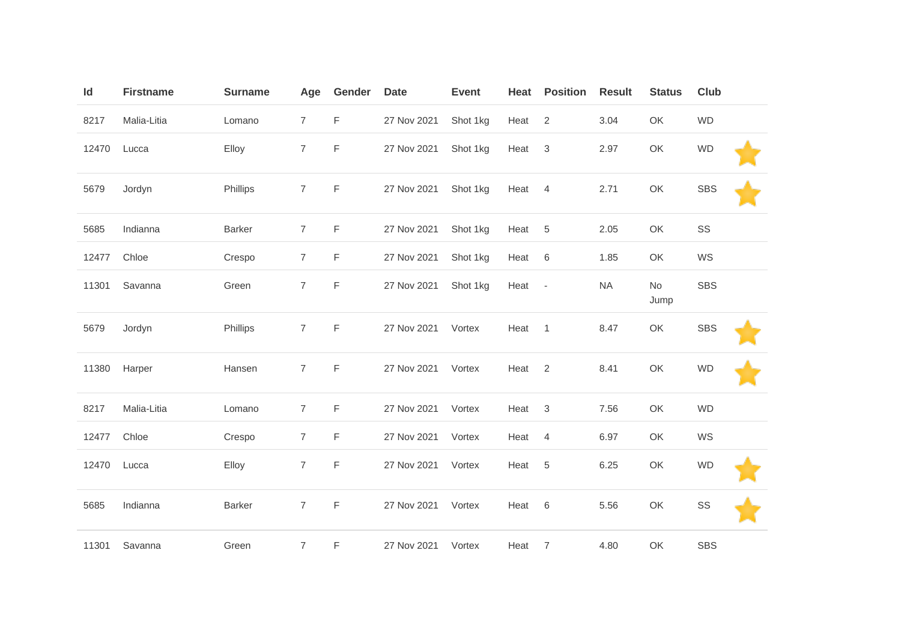| Id    | <b>Firstname</b> | <b>Surname</b> | Age            | Gender      | <b>Date</b> | <b>Event</b> | Heat | <b>Position</b>          | <b>Result</b> | <b>Status</b> | Club       |
|-------|------------------|----------------|----------------|-------------|-------------|--------------|------|--------------------------|---------------|---------------|------------|
| 8217  | Malia-Litia      | Lomano         | $\overline{7}$ | F           | 27 Nov 2021 | Shot 1kg     | Heat | 2                        | 3.04          | OK            | <b>WD</b>  |
| 12470 | Lucca            | Elloy          | $\overline{7}$ | F           | 27 Nov 2021 | Shot 1kg     | Heat | $\mathbf{3}$             | 2.97          | OK            | <b>WD</b>  |
| 5679  | Jordyn           | Phillips       | $\overline{7}$ | $\mathsf F$ | 27 Nov 2021 | Shot 1kg     | Heat | $\overline{4}$           | 2.71          | OK            | <b>SBS</b> |
| 5685  | Indianna         | <b>Barker</b>  | $\overline{7}$ | F           | 27 Nov 2021 | Shot 1kg     | Heat | $\overline{5}$           | 2.05          | OK            | SS         |
| 12477 | Chloe            | Crespo         | 7              | F           | 27 Nov 2021 | Shot 1kg     | Heat | 6                        | 1.85          | OK            | WS         |
| 11301 | Savanna          | Green          | $\overline{7}$ | $\mathsf F$ | 27 Nov 2021 | Shot 1kg     | Heat | $\overline{\phantom{a}}$ | NA            | No<br>Jump    | <b>SBS</b> |
| 5679  | Jordyn           | Phillips       | $\overline{7}$ | $\mathsf F$ | 27 Nov 2021 | Vortex       | Heat | $\overline{1}$           | 8.47          | OK            | <b>SBS</b> |
| 11380 | Harper           | Hansen         | $\overline{7}$ | F           | 27 Nov 2021 | Vortex       | Heat | $\overline{2}$           | 8.41          | OK            | <b>WD</b>  |
| 8217  | Malia-Litia      | Lomano         | $\overline{7}$ | F           | 27 Nov 2021 | Vortex       | Heat | $\mathbf{3}$             | 7.56          | OK            | <b>WD</b>  |
| 12477 | Chloe            | Crespo         | $\overline{7}$ | F           | 27 Nov 2021 | Vortex       | Heat | $\overline{4}$           | 6.97          | OK            | WS         |
| 12470 | Lucca            | Elloy          | $\overline{7}$ | F           | 27 Nov 2021 | Vortex       | Heat | 5                        | 6.25          | OK            | <b>WD</b>  |
| 5685  | Indianna         | <b>Barker</b>  | $\overline{7}$ | F           | 27 Nov 2021 | Vortex       | Heat | 6                        | 5.56          | OK            | SS         |
| 11301 | Savanna          | Green          | $\overline{7}$ | F           | 27 Nov 2021 | Vortex       | Heat | $\overline{7}$           | 4.80          | OK            | <b>SBS</b> |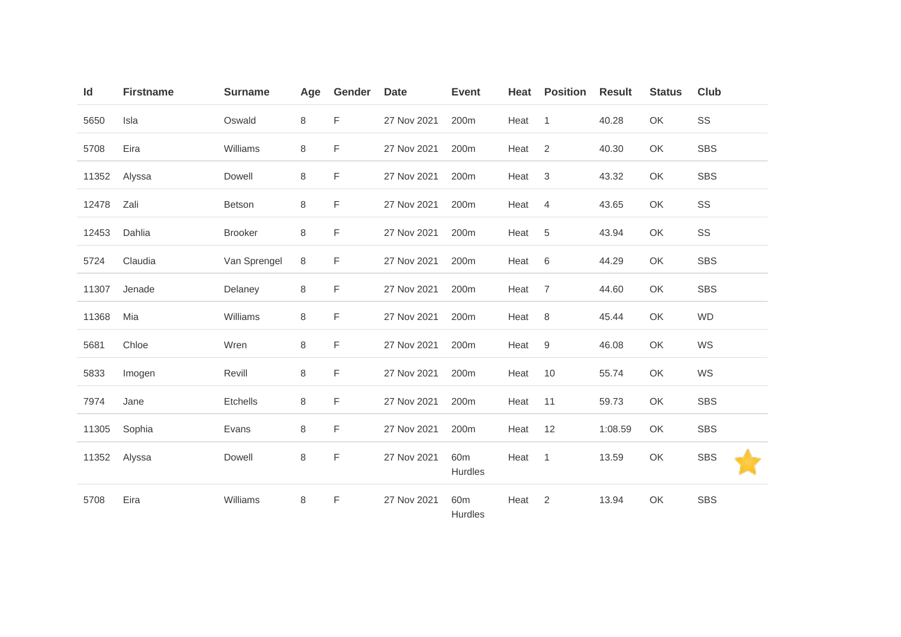| Id    | <b>Firstname</b> | <b>Surname</b> | Age | Gender | <b>Date</b> | <b>Event</b>               | Heat | <b>Position</b> | <b>Result</b> | <b>Status</b> | <b>Club</b> |
|-------|------------------|----------------|-----|--------|-------------|----------------------------|------|-----------------|---------------|---------------|-------------|
| 5650  | Isla             | Oswald         | 8   | F      | 27 Nov 2021 | 200m                       | Heat | $\overline{1}$  | 40.28         | OK            | SS          |
| 5708  | Eira             | Williams       | 8   | F      | 27 Nov 2021 | 200m                       | Heat | 2               | 40.30         | OK            | <b>SBS</b>  |
| 11352 | Alyssa           | Dowell         | 8   | F      | 27 Nov 2021 | 200m                       | Heat | $\mathbf{3}$    | 43.32         | OK            | <b>SBS</b>  |
| 12478 | Zali             | <b>Betson</b>  | 8   | F      | 27 Nov 2021 | 200m                       | Heat | 4               | 43.65         | OK            | SS          |
| 12453 | Dahlia           | <b>Brooker</b> | 8   | F      | 27 Nov 2021 | 200m                       | Heat | 5               | 43.94         | OK            | SS          |
| 5724  | Claudia          | Van Sprengel   | 8   | F      | 27 Nov 2021 | 200m                       | Heat | 6               | 44.29         | OK            | <b>SBS</b>  |
| 11307 | Jenade           | Delaney        | 8   | F      | 27 Nov 2021 | 200m                       | Heat | $\overline{7}$  | 44.60         | OK            | <b>SBS</b>  |
| 11368 | Mia              | Williams       | 8   | F      | 27 Nov 2021 | 200m                       | Heat | 8               | 45.44         | OK            | <b>WD</b>   |
| 5681  | Chloe            | Wren           | 8   | F      | 27 Nov 2021 | 200m                       | Heat | 9               | 46.08         | OK            | WS          |
| 5833  | Imogen           | Revill         | 8   | F      | 27 Nov 2021 | 200m                       | Heat | 10              | 55.74         | OK            | WS          |
| 7974  | Jane             | Etchells       | 8   | F      | 27 Nov 2021 | 200m                       | Heat | 11              | 59.73         | OK            | <b>SBS</b>  |
| 11305 | Sophia           | Evans          | 8   | F      | 27 Nov 2021 | 200m                       | Heat | 12              | 1:08.59       | OK            | <b>SBS</b>  |
| 11352 | Alyssa           | Dowell         | 8   | F      | 27 Nov 2021 | 60 <sub>m</sub><br>Hurdles | Heat | $\overline{1}$  | 13.59         | OK            | <b>SBS</b>  |
| 5708  | Eira             | Williams       | 8   | F      | 27 Nov 2021 | 60 <sub>m</sub><br>Hurdles | Heat | 2               | 13.94         | OK            | <b>SBS</b>  |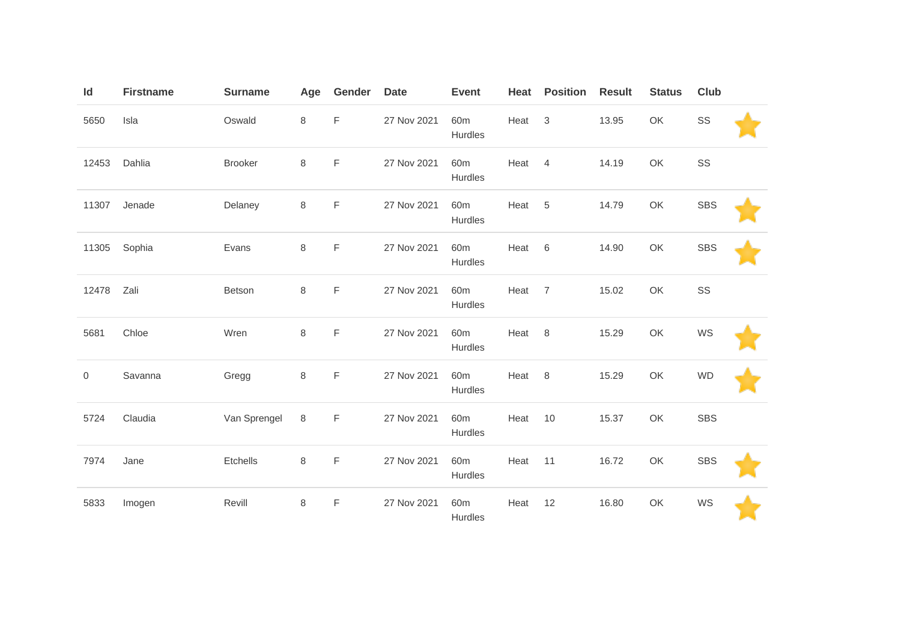| Id    | <b>Firstname</b> | <b>Surname</b> | Age     | Gender      | <b>Date</b> | <b>Event</b>               | Heat | <b>Position</b> | <b>Result</b> | <b>Status</b> | <b>Club</b> |  |
|-------|------------------|----------------|---------|-------------|-------------|----------------------------|------|-----------------|---------------|---------------|-------------|--|
| 5650  | Isla             | Oswald         | 8       | F           | 27 Nov 2021 | 60 <sub>m</sub><br>Hurdles | Heat | $\mathbf{3}$    | 13.95         | OK            | SS          |  |
| 12453 | Dahlia           | <b>Brooker</b> | 8       | F           | 27 Nov 2021 | 60 <sub>m</sub><br>Hurdles | Heat | 4               | 14.19         | OK            | SS          |  |
| 11307 | Jenade           | Delaney        | 8       | F           | 27 Nov 2021 | 60 <sub>m</sub><br>Hurdles | Heat | 5               | 14.79         | OK            | <b>SBS</b>  |  |
| 11305 | Sophia           | Evans          | $\,8\,$ | $\mathsf F$ | 27 Nov 2021 | 60 <sub>m</sub><br>Hurdles | Heat | 6               | 14.90         | OK            | <b>SBS</b>  |  |
| 12478 | Zali             | Betson         | $\,8\,$ | $\mathsf F$ | 27 Nov 2021 | 60 <sub>m</sub><br>Hurdles | Heat | $\overline{7}$  | 15.02         | OK            | SS          |  |
| 5681  | Chloe            | Wren           | 8       | $\mathsf F$ | 27 Nov 2021 | 60 <sub>m</sub><br>Hurdles | Heat | 8               | 15.29         | OK            | WS          |  |
| 0     | Savanna          | Gregg          | $\,8\,$ | F           | 27 Nov 2021 | 60 <sub>m</sub><br>Hurdles | Heat | 8               | 15.29         | OK            | <b>WD</b>   |  |
| 5724  | Claudia          | Van Sprengel   | 8       | $\mathsf F$ | 27 Nov 2021 | 60 <sub>m</sub><br>Hurdles | Heat | 10              | 15.37         | OK            | <b>SBS</b>  |  |
| 7974  | Jane             | Etchells       | $\,8\,$ | $\mathsf F$ | 27 Nov 2021 | 60 <sub>m</sub><br>Hurdles | Heat | 11              | 16.72         | OK            | <b>SBS</b>  |  |
| 5833  | Imogen           | Revill         | 8       | $\mathsf F$ | 27 Nov 2021 | 60 <sub>m</sub><br>Hurdles | Heat | 12              | 16.80         | OK            | WS          |  |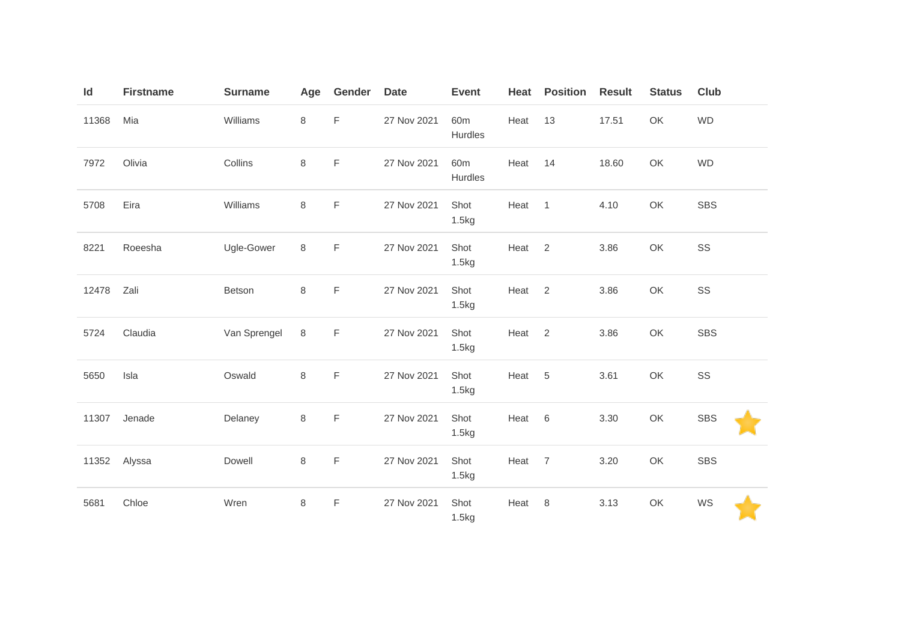| Id    | <b>Firstname</b> | <b>Surname</b> | Age     | Gender      | <b>Date</b> | <b>Event</b>               | Heat | <b>Position</b> | <b>Result</b> | <b>Status</b> | <b>Club</b> |  |
|-------|------------------|----------------|---------|-------------|-------------|----------------------------|------|-----------------|---------------|---------------|-------------|--|
| 11368 | Mia              | Williams       | $\,8\,$ | $\mathsf F$ | 27 Nov 2021 | 60 <sub>m</sub><br>Hurdles | Heat | 13              | 17.51         | OK            | <b>WD</b>   |  |
| 7972  | Olivia           | Collins        | $\,8\,$ | F           | 27 Nov 2021 | 60 <sub>m</sub><br>Hurdles | Heat | 14              | 18.60         | OK            | <b>WD</b>   |  |
| 5708  | Eira             | Williams       | $\,8\,$ | $\mathsf F$ | 27 Nov 2021 | Shot<br>1.5kg              | Heat | $\overline{1}$  | 4.10          | OK            | <b>SBS</b>  |  |
| 8221  | Roeesha          | Ugle-Gower     | $\,8\,$ | $\mathsf F$ | 27 Nov 2021 | Shot<br>1.5kg              | Heat | 2               | 3.86          | OK            | SS          |  |
| 12478 | Zali             | Betson         | $\,8\,$ | $\mathsf F$ | 27 Nov 2021 | Shot<br>1.5kg              | Heat | 2               | 3.86          | OK            | SS          |  |
| 5724  | Claudia          | Van Sprengel   | $\,8\,$ | $\mathsf F$ | 27 Nov 2021 | Shot<br>1.5kg              | Heat | 2               | 3.86          | OK            | <b>SBS</b>  |  |
| 5650  | Isla             | Oswald         | $\,8\,$ | $\mathsf F$ | 27 Nov 2021 | Shot<br>1.5kg              | Heat | $\,$ 5 $\,$     | 3.61          | OK            | SS          |  |
| 11307 | Jenade           | Delaney        | $\,8\,$ | $\mathsf F$ | 27 Nov 2021 | Shot<br>1.5kg              | Heat | 6               | 3.30          | OK            | <b>SBS</b>  |  |
| 11352 | Alyssa           | Dowell         | 8       | F           | 27 Nov 2021 | Shot<br>1.5kg              | Heat | $\overline{7}$  | 3.20          | OK            | <b>SBS</b>  |  |
| 5681  | Chloe            | Wren           | $\,8\,$ | F           | 27 Nov 2021 | Shot<br>1.5kg              | Heat | $\,8\,$         | 3.13          | OK            | WS          |  |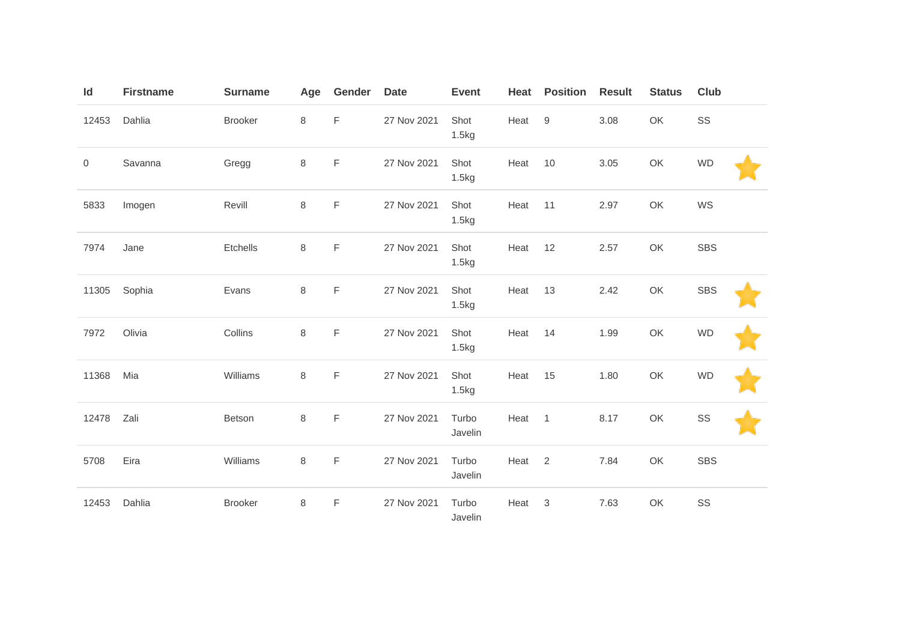| $\mathsf{Id}$ | <b>Firstname</b> | <b>Surname</b> | Age | Gender      | <b>Date</b> | <b>Event</b>     | Heat | <b>Position</b> | <b>Result</b> | <b>Status</b> | <b>Club</b> |
|---------------|------------------|----------------|-----|-------------|-------------|------------------|------|-----------------|---------------|---------------|-------------|
| 12453         | Dahlia           | <b>Brooker</b> | 8   | F           | 27 Nov 2021 | Shot<br>1.5kg    | Heat | $9\,$           | 3.08          | OK            | SS          |
| 0             | Savanna          | Gregg          | 8   | F           | 27 Nov 2021 | Shot<br>1.5kg    | Heat | 10              | 3.05          | OK            | <b>WD</b>   |
| 5833          | Imogen           | Revill         | 8   | $\mathsf F$ | 27 Nov 2021 | Shot<br>1.5kg    | Heat | 11              | 2.97          | OK            | WS          |
| 7974          | Jane             | Etchells       | 8   | F           | 27 Nov 2021 | Shot<br>1.5kg    | Heat | 12              | 2.57          | OK            | <b>SBS</b>  |
| 11305         | Sophia           | Evans          | 8   | F           | 27 Nov 2021 | Shot<br>1.5kg    | Heat | 13              | 2.42          | OK            | <b>SBS</b>  |
| 7972          | Olivia           | Collins        | 8   | $\mathsf F$ | 27 Nov 2021 | Shot<br>1.5kg    | Heat | 14              | 1.99          | OK            | <b>WD</b>   |
| 11368         | Mia              | Williams       | 8   | F           | 27 Nov 2021 | Shot<br>1.5kg    | Heat | 15              | 1.80          | OK            | <b>WD</b>   |
| 12478         | Zali             | Betson         | 8   | $\mathsf F$ | 27 Nov 2021 | Turbo<br>Javelin | Heat | $\overline{1}$  | 8.17          | OK            | SS          |
| 5708          | Eira             | Williams       | 8   | $\mathsf F$ | 27 Nov 2021 | Turbo<br>Javelin | Heat | 2               | 7.84          | OK            | <b>SBS</b>  |
| 12453         | Dahlia           | <b>Brooker</b> | 8   | F           | 27 Nov 2021 | Turbo<br>Javelin | Heat | 3               | 7.63          | OK            | SS          |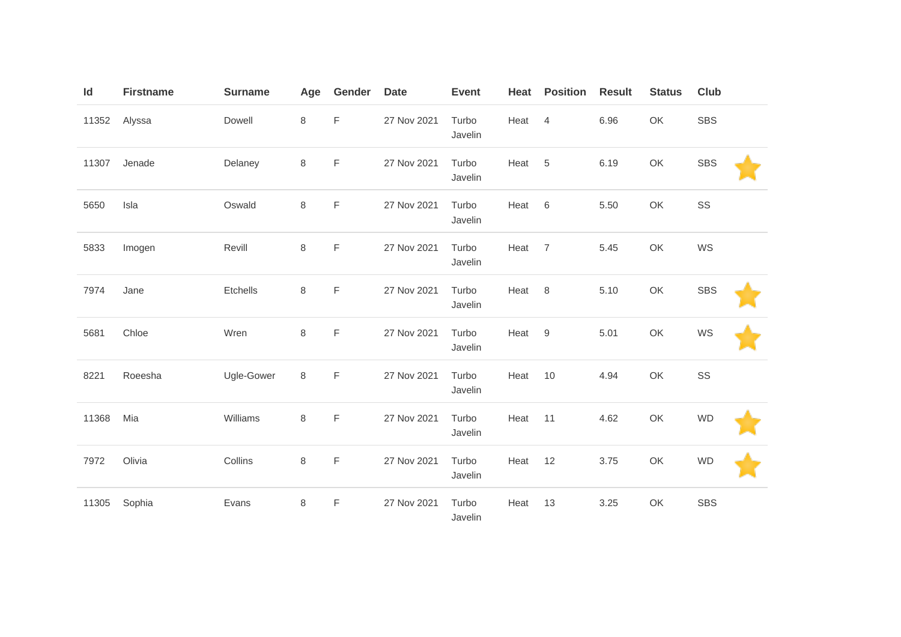| $\mathsf{Id}$ | <b>Firstname</b> | <b>Surname</b> | Age | Gender      | <b>Date</b> | <b>Event</b>     | Heat | <b>Position</b> | <b>Result</b> | <b>Status</b> | <b>Club</b> |  |
|---------------|------------------|----------------|-----|-------------|-------------|------------------|------|-----------------|---------------|---------------|-------------|--|
| 11352         | Alyssa           | Dowell         | 8   | F           | 27 Nov 2021 | Turbo<br>Javelin | Heat | $\overline{4}$  | 6.96          | OK            | <b>SBS</b>  |  |
| 11307         | Jenade           | Delaney        | 8   | $\mathsf F$ | 27 Nov 2021 | Turbo<br>Javelin | Heat | 5               | 6.19          | OK            | <b>SBS</b>  |  |
| 5650          | Isla             | Oswald         | 8   | $\mathsf F$ | 27 Nov 2021 | Turbo<br>Javelin | Heat | 6               | 5.50          | OK            | SS          |  |
| 5833          | Imogen           | Revill         | 8   | $\mathsf F$ | 27 Nov 2021 | Turbo<br>Javelin | Heat | $\overline{7}$  | 5.45          | OK            | WS          |  |
| 7974          | Jane             | Etchells       | 8   | F           | 27 Nov 2021 | Turbo<br>Javelin | Heat | $\,8\,$         | 5.10          | OK            | <b>SBS</b>  |  |
| 5681          | Chloe            | Wren           | 8   | F           | 27 Nov 2021 | Turbo<br>Javelin | Heat | 9               | 5.01          | OK            | WS          |  |
| 8221          | Roeesha          | Ugle-Gower     | 8   | $\mathsf F$ | 27 Nov 2021 | Turbo<br>Javelin | Heat | 10              | 4.94          | OK            | SS          |  |
| 11368         | Mia              | Williams       | 8   | $\mathsf F$ | 27 Nov 2021 | Turbo<br>Javelin | Heat | 11              | 4.62          | OK            | <b>WD</b>   |  |
| 7972          | Olivia           | Collins        | 8   | $\mathsf F$ | 27 Nov 2021 | Turbo<br>Javelin | Heat | 12              | 3.75          | OK            | <b>WD</b>   |  |
| 11305         | Sophia           | Evans          | 8   | F           | 27 Nov 2021 | Turbo<br>Javelin | Heat | 13              | 3.25          | OK            | <b>SBS</b>  |  |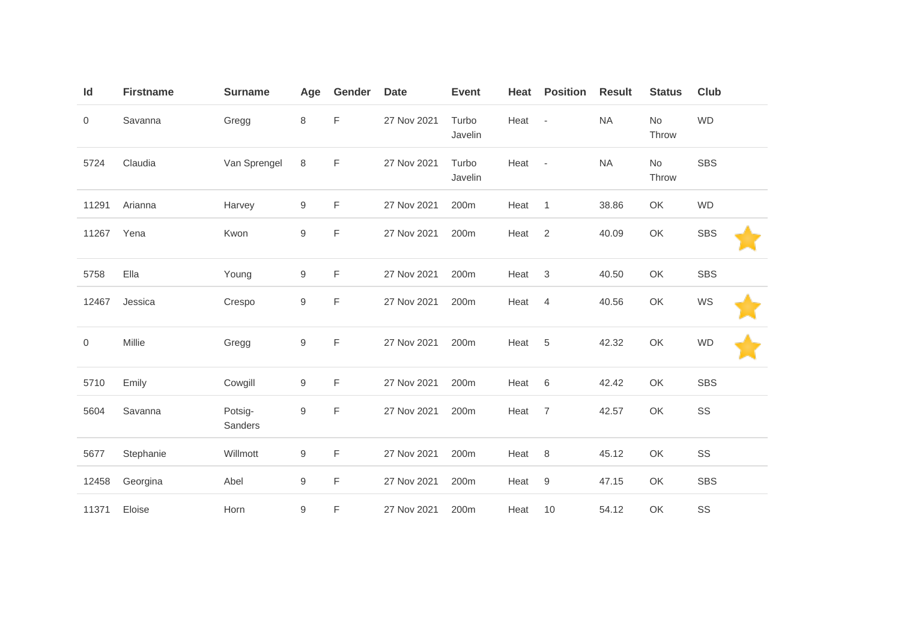| Id    | <b>Firstname</b> | <b>Surname</b>     | Age              | Gender      | <b>Date</b> | <b>Event</b>     | Heat | <b>Position</b>          | <b>Result</b> | <b>Status</b> | Club       |
|-------|------------------|--------------------|------------------|-------------|-------------|------------------|------|--------------------------|---------------|---------------|------------|
| 0     | Savanna          | Gregg              | 8                | F           | 27 Nov 2021 | Turbo<br>Javelin | Heat | $\overline{\phantom{a}}$ | <b>NA</b>     | No<br>Throw   | <b>WD</b>  |
| 5724  | Claudia          | Van Sprengel       | 8                | F           | 27 Nov 2021 | Turbo<br>Javelin | Heat | $\sim$                   | <b>NA</b>     | No<br>Throw   | <b>SBS</b> |
| 11291 | Arianna          | Harvey             | 9                | F           | 27 Nov 2021 | 200m             | Heat | $\overline{1}$           | 38.86         | OK            | <b>WD</b>  |
| 11267 | Yena             | Kwon               | 9                | $\mathsf F$ | 27 Nov 2021 | 200m             | Heat | $\overline{2}$           | 40.09         | OK            | <b>SBS</b> |
| 5758  | Ella             | Young              | $\boldsymbol{9}$ | F           | 27 Nov 2021 | 200m             | Heat | $\mathfrak 3$            | 40.50         | OK            | <b>SBS</b> |
| 12467 | Jessica          | Crespo             | 9                | F           | 27 Nov 2021 | 200m             | Heat | 4                        | 40.56         | OK            | WS         |
| 0     | Millie           | Gregg              | $\hbox{9}$       | $\mathsf F$ | 27 Nov 2021 | 200m             | Heat | 5                        | 42.32         | OK            | <b>WD</b>  |
| 5710  | Emily            | Cowgill            | 9                | F           | 27 Nov 2021 | 200m             | Heat | 6                        | 42.42         | OK            | <b>SBS</b> |
| 5604  | Savanna          | Potsig-<br>Sanders | $\boldsymbol{9}$ | F           | 27 Nov 2021 | 200m             | Heat | $\overline{7}$           | 42.57         | OK            | SS         |
| 5677  | Stephanie        | Willmott           | $\boldsymbol{9}$ | F           | 27 Nov 2021 | 200m             | Heat | 8                        | 45.12         | OK            | SS         |
| 12458 | Georgina         | Abel               | $\hbox{9}$       | F           | 27 Nov 2021 | 200m             | Heat | $\boldsymbol{9}$         | 47.15         | OK            | <b>SBS</b> |
| 11371 | Eloise           | Horn               | 9                | F           | 27 Nov 2021 | 200m             | Heat | 10                       | 54.12         | OK            | SS         |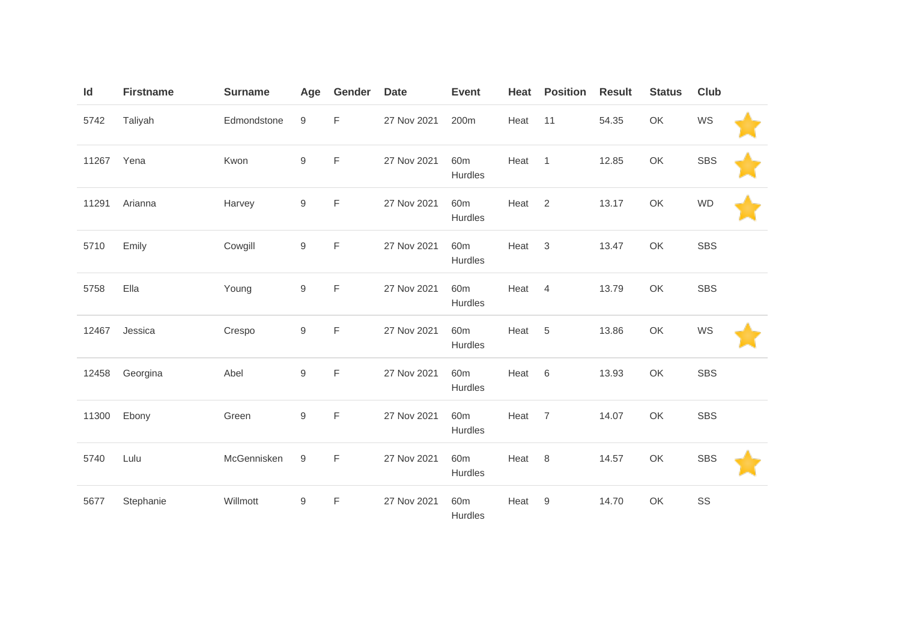| Id    | <b>Firstname</b> | <b>Surname</b> | Age              | Gender      | <b>Date</b> | <b>Event</b>               | Heat   | <b>Position</b> | <b>Result</b> | <b>Status</b> | Club       |  |
|-------|------------------|----------------|------------------|-------------|-------------|----------------------------|--------|-----------------|---------------|---------------|------------|--|
| 5742  | Taliyah          | Edmondstone    | 9                | F           | 27 Nov 2021 | 200m                       | Heat   | 11              | 54.35         | OK            | WS         |  |
| 11267 | Yena             | Kwon           | $\mathsf g$      | F           | 27 Nov 2021 | 60 <sub>m</sub><br>Hurdles | Heat 1 |                 | 12.85         | OK            | <b>SBS</b> |  |
| 11291 | Arianna          | Harvey         | $\hbox{9}$       | $\mathsf F$ | 27 Nov 2021 | 60 <sub>m</sub><br>Hurdles | Heat   | $\overline{2}$  | 13.17         | OK            | <b>WD</b>  |  |
| 5710  | Emily            | Cowgill        | 9                | F           | 27 Nov 2021 | 60 <sub>m</sub><br>Hurdles | Heat   | $\mathbf{3}$    | 13.47         | OK            | <b>SBS</b> |  |
| 5758  | Ella             | Young          | $\hbox{9}$       | F           | 27 Nov 2021 | 60 <sub>m</sub><br>Hurdles | Heat   | $\overline{4}$  | 13.79         | OK            | <b>SBS</b> |  |
| 12467 | Jessica          | Crespo         | $\boldsymbol{9}$ | F           | 27 Nov 2021 | 60 <sub>m</sub><br>Hurdles | Heat   | 5               | 13.86         | OK            | WS         |  |
| 12458 | Georgina         | Abel           | $\boldsymbol{9}$ | F           | 27 Nov 2021 | 60 <sub>m</sub><br>Hurdles | Heat   | 6               | 13.93         | OK            | <b>SBS</b> |  |
| 11300 | Ebony            | Green          | $\hbox{9}$       | F           | 27 Nov 2021 | 60 <sub>m</sub><br>Hurdles | Heat   | $\overline{7}$  | 14.07         | OK            | <b>SBS</b> |  |
| 5740  | Lulu             | McGennisken    | 9                | F           | 27 Nov 2021 | 60 <sub>m</sub><br>Hurdles | Heat   | 8               | 14.57         | OK            | <b>SBS</b> |  |
| 5677  | Stephanie        | Willmott       | 9                | F           | 27 Nov 2021 | 60 <sub>m</sub><br>Hurdles | Heat   | $9\,$           | 14.70         | OK            | SS         |  |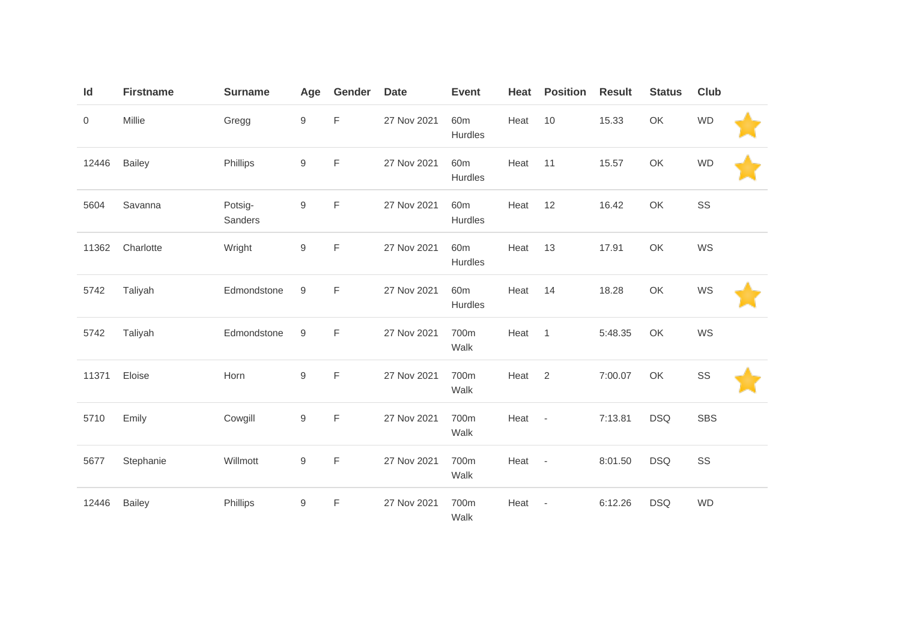| Id    | <b>Firstname</b> | <b>Surname</b>     | Age              | Gender      | <b>Date</b> | <b>Event</b>               | Heat | <b>Position</b>          | <b>Result</b> | <b>Status</b> | <b>Club</b> |  |
|-------|------------------|--------------------|------------------|-------------|-------------|----------------------------|------|--------------------------|---------------|---------------|-------------|--|
| 0     | Millie           | Gregg              | 9                | F           | 27 Nov 2021 | 60 <sub>m</sub><br>Hurdles | Heat | 10                       | 15.33         | OK            | <b>WD</b>   |  |
| 12446 | Bailey           | Phillips           | 9                | F           | 27 Nov 2021 | 60 <sub>m</sub><br>Hurdles | Heat | 11                       | 15.57         | OK            | <b>WD</b>   |  |
| 5604  | Savanna          | Potsig-<br>Sanders | 9                | F           | 27 Nov 2021 | 60 <sub>m</sub><br>Hurdles | Heat | 12                       | 16.42         | OK            | SS          |  |
| 11362 | Charlotte        | Wright             | 9                | F           | 27 Nov 2021 | 60 <sub>m</sub><br>Hurdles | Heat | 13                       | 17.91         | OK            | WS          |  |
| 5742  | Taliyah          | Edmondstone        | 9                | F           | 27 Nov 2021 | 60 <sub>m</sub><br>Hurdles | Heat | 14                       | 18.28         | OK            | WS          |  |
| 5742  | Taliyah          | Edmondstone        | 9                | $\mathsf F$ | 27 Nov 2021 | 700m<br>Walk               | Heat | $\mathbf{1}$             | 5:48.35       | OK            | WS          |  |
| 11371 | Eloise           | Horn               | 9                | F           | 27 Nov 2021 | 700m<br>Walk               | Heat | 2                        | 7:00.07       | OK            | SS          |  |
| 5710  | Emily            | Cowgill            | 9                | $\mathsf F$ | 27 Nov 2021 | 700m<br>Walk               | Heat | $\sim$                   | 7:13.81       | <b>DSQ</b>    | <b>SBS</b>  |  |
| 5677  | Stephanie        | Willmott           | $\boldsymbol{9}$ | $\mathsf F$ | 27 Nov 2021 | 700m<br>Walk               | Heat | $\overline{\phantom{a}}$ | 8:01.50       | <b>DSQ</b>    | SS          |  |
| 12446 | <b>Bailey</b>    | Phillips           | 9                | $\mathsf F$ | 27 Nov 2021 | 700m<br>Walk               | Heat | $\overline{\phantom{a}}$ | 6:12.26       | <b>DSQ</b>    | <b>WD</b>   |  |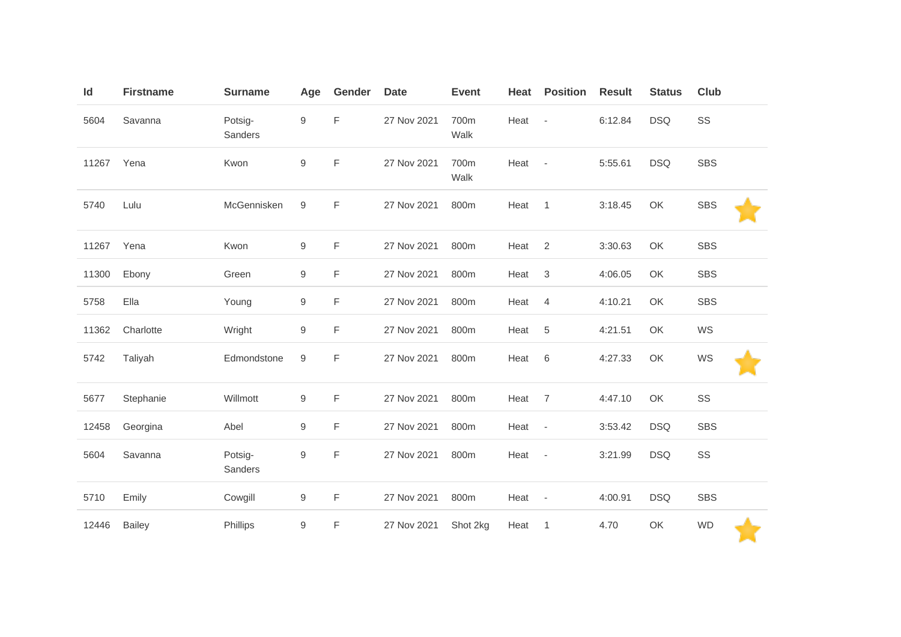| Id    | <b>Firstname</b> | <b>Surname</b>     | Age              | Gender      | <b>Date</b> | <b>Event</b> | Heat | <b>Position</b>          | <b>Result</b> | <b>Status</b> | <b>Club</b> |
|-------|------------------|--------------------|------------------|-------------|-------------|--------------|------|--------------------------|---------------|---------------|-------------|
| 5604  | Savanna          | Potsig-<br>Sanders | $\boldsymbol{9}$ | F           | 27 Nov 2021 | 700m<br>Walk | Heat | $\overline{\phantom{a}}$ | 6:12.84       | <b>DSQ</b>    | SS          |
| 11267 | Yena             | Kwon               | $\boldsymbol{9}$ | F           | 27 Nov 2021 | 700m<br>Walk | Heat | $\overline{\phantom{a}}$ | 5:55.61       | <b>DSQ</b>    | <b>SBS</b>  |
| 5740  | Lulu             | McGennisken        | 9                | $\mathsf F$ | 27 Nov 2021 | 800m         | Heat | $\mathbf{1}$             | 3:18.45       | OK            | <b>SBS</b>  |
| 11267 | Yena             | Kwon               | $\boldsymbol{9}$ | F           | 27 Nov 2021 | 800m         | Heat | 2                        | 3:30.63       | OK            | <b>SBS</b>  |
| 11300 | Ebony            | Green              | $\boldsymbol{9}$ | F           | 27 Nov 2021 | 800m         | Heat | $\sqrt{3}$               | 4:06.05       | OK            | <b>SBS</b>  |
| 5758  | Ella             | Young              | $\boldsymbol{9}$ | F           | 27 Nov 2021 | 800m         | Heat | $\overline{4}$           | 4:10.21       | OK            | <b>SBS</b>  |
| 11362 | Charlotte        | Wright             | 9                | $\mathsf F$ | 27 Nov 2021 | 800m         | Heat | $\sqrt{5}$               | 4:21.51       | OK            | WS          |
| 5742  | Taliyah          | Edmondstone        | $\hbox{9}$       | F           | 27 Nov 2021 | 800m         | Heat | $6\,$                    | 4:27.33       | OK            | WS          |
| 5677  | Stephanie        | Willmott           | 9                | F           | 27 Nov 2021 | 800m         | Heat | $\overline{7}$           | 4:47.10       | OK            | SS          |
| 12458 | Georgina         | Abel               | $\boldsymbol{9}$ | F           | 27 Nov 2021 | 800m         | Heat | $\overline{\phantom{a}}$ | 3:53.42       | <b>DSQ</b>    | <b>SBS</b>  |
| 5604  | Savanna          | Potsig-<br>Sanders | $\boldsymbol{9}$ | F           | 27 Nov 2021 | 800m         | Heat | $\overline{\phantom{a}}$ | 3:21.99       | <b>DSQ</b>    | SS          |
| 5710  | Emily            | Cowgill            | 9                | F           | 27 Nov 2021 | 800m         | Heat | $\overline{\phantom{a}}$ | 4:00.91       | <b>DSQ</b>    | <b>SBS</b>  |
| 12446 | <b>Bailey</b>    | Phillips           | 9                | F           | 27 Nov 2021 | Shot 2kg     | Heat | $\mathbf{1}$             | 4.70          | OK            | <b>WD</b>   |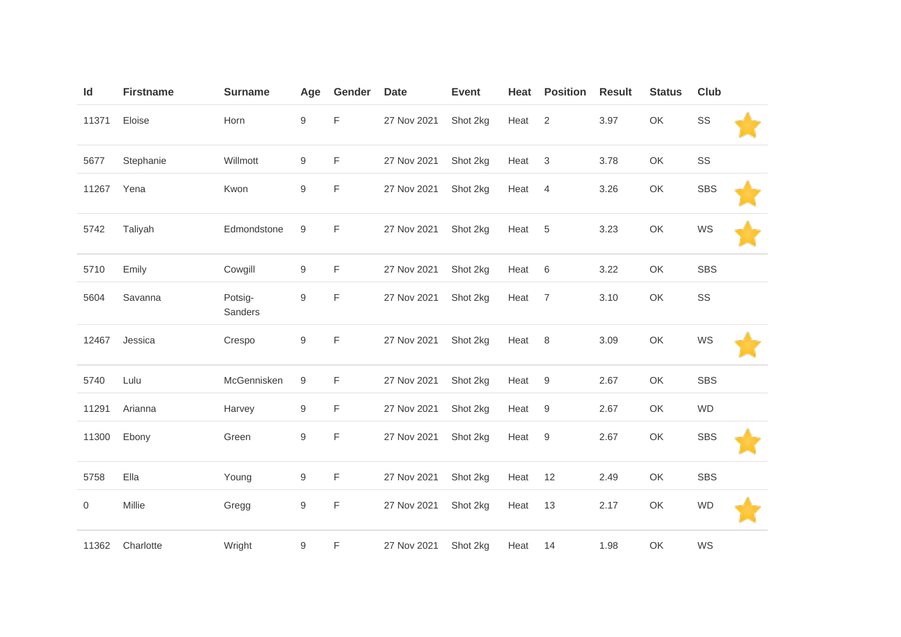| Id             | <b>Firstname</b> | <b>Surname</b>     | Age              | Gender      | <b>Date</b> | <b>Event</b> | Heat | <b>Position</b>  | <b>Result</b> | <b>Status</b> | Club       |  |
|----------------|------------------|--------------------|------------------|-------------|-------------|--------------|------|------------------|---------------|---------------|------------|--|
| 11371          | Eloise           | Horn               | $\boldsymbol{9}$ | F           | 27 Nov 2021 | Shot 2kg     | Heat | 2                | 3.97          | OK            | SS         |  |
| 5677           | Stephanie        | Willmott           | 9                | F           | 27 Nov 2021 | Shot 2kg     | Heat | $\mathbf{3}$     | 3.78          | OK            | SS         |  |
| 11267          | Yena             | Kwon               | $\boldsymbol{9}$ | F           | 27 Nov 2021 | Shot 2kg     | Heat | $\overline{4}$   | 3.26          | OK            | <b>SBS</b> |  |
| 5742           | Taliyah          | Edmondstone        | 9                | F           | 27 Nov 2021 | Shot 2kg     | Heat | 5                | 3.23          | OK            | WS         |  |
| 5710           | Emily            | Cowgill            | 9                | F           | 27 Nov 2021 | Shot 2kg     | Heat | 6                | 3.22          | OK            | SBS        |  |
| 5604           | Savanna          | Potsig-<br>Sanders | $\boldsymbol{9}$ | F           | 27 Nov 2021 | Shot 2kg     | Heat | $\overline{7}$   | 3.10          | OK            | SS         |  |
| 12467          | Jessica          | Crespo             | $\boldsymbol{9}$ | $\mathsf F$ | 27 Nov 2021 | Shot 2kg     | Heat | 8                | 3.09          | OK            | WS         |  |
| 5740           | Lulu             | McGennisken        | 9                | F           | 27 Nov 2021 | Shot 2kg     | Heat | 9                | 2.67          | OK            | SBS        |  |
| 11291          | Arianna          | Harvey             | 9                | $\mathsf F$ | 27 Nov 2021 | Shot 2kg     | Heat | 9                | 2.67          | OK            | <b>WD</b>  |  |
| 11300          | Ebony            | Green              | $\boldsymbol{9}$ | $\mathsf F$ | 27 Nov 2021 | Shot 2kg     | Heat | $\boldsymbol{9}$ | 2.67          | OK            | <b>SBS</b> |  |
| 5758           | Ella             | Young              | 9                | F.          | 27 Nov 2021 | Shot 2kg     | Heat | 12               | 2.49          | OK            | <b>SBS</b> |  |
| $\overline{0}$ | Millie           | Gregg              | 9                | F           | 27 Nov 2021 | Shot 2kg     | Heat | 13               | 2.17          | OK            | <b>WD</b>  |  |
| 11362          | Charlotte        | Wright             | 9                | F           | 27 Nov 2021 | Shot 2kg     | Heat | 14               | 1.98          | OK            | WS         |  |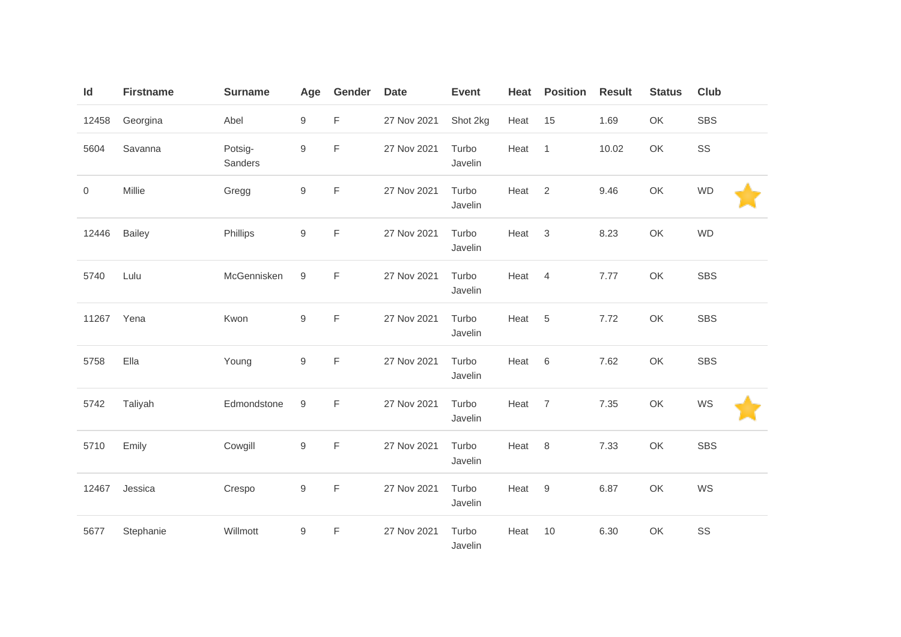| $\mathsf{Id}$ | <b>Firstname</b> | <b>Surname</b>     | Age              | Gender      | <b>Date</b> | <b>Event</b>     | Heat | <b>Position</b> | <b>Result</b> | <b>Status</b> | Club       |
|---------------|------------------|--------------------|------------------|-------------|-------------|------------------|------|-----------------|---------------|---------------|------------|
| 12458         | Georgina         | Abel               | $\boldsymbol{9}$ | F           | 27 Nov 2021 | Shot 2kg         | Heat | 15              | 1.69          | OK            | <b>SBS</b> |
| 5604          | Savanna          | Potsig-<br>Sanders | $\boldsymbol{9}$ | F           | 27 Nov 2021 | Turbo<br>Javelin | Heat | $\mathbf{1}$    | 10.02         | OK            | SS         |
| 0             | Millie           | Gregg              | $\boldsymbol{9}$ | F           | 27 Nov 2021 | Turbo<br>Javelin | Heat | 2               | 9.46          | OK            | <b>WD</b>  |
| 12446         | <b>Bailey</b>    | Phillips           | $\boldsymbol{9}$ | $\mathsf F$ | 27 Nov 2021 | Turbo<br>Javelin | Heat | $\mathbf{3}$    | 8.23          | OK            | <b>WD</b>  |
| 5740          | Lulu             | McGennisken        | $\boldsymbol{9}$ | $\mathsf F$ | 27 Nov 2021 | Turbo<br>Javelin | Heat | $\overline{4}$  | 7.77          | OK            | <b>SBS</b> |
| 11267         | Yena             | Kwon               | 9                | F           | 27 Nov 2021 | Turbo<br>Javelin | Heat | $\sqrt{5}$      | 7.72          | OK            | <b>SBS</b> |
| 5758          | Ella             | Young              | $\boldsymbol{9}$ | $\mathsf F$ | 27 Nov 2021 | Turbo<br>Javelin | Heat | $\,6\,$         | 7.62          | OK            | <b>SBS</b> |
| 5742          | Taliyah          | Edmondstone        | $\boldsymbol{9}$ | $\mathsf F$ | 27 Nov 2021 | Turbo<br>Javelin | Heat | $\overline{7}$  | 7.35          | OK            | WS         |
| 5710          | Emily            | Cowgill            | $\boldsymbol{9}$ | $\mathsf F$ | 27 Nov 2021 | Turbo<br>Javelin | Heat | 8               | 7.33          | OK            | SBS        |
| 12467         | Jessica          | Crespo             | $\boldsymbol{9}$ | $\mathsf F$ | 27 Nov 2021 | Turbo<br>Javelin | Heat | 9               | 6.87          | OK            | WS         |
| 5677          | Stephanie        | Willmott           | 9                | F           | 27 Nov 2021 | Turbo<br>Javelin | Heat | 10              | 6.30          | OK            | SS         |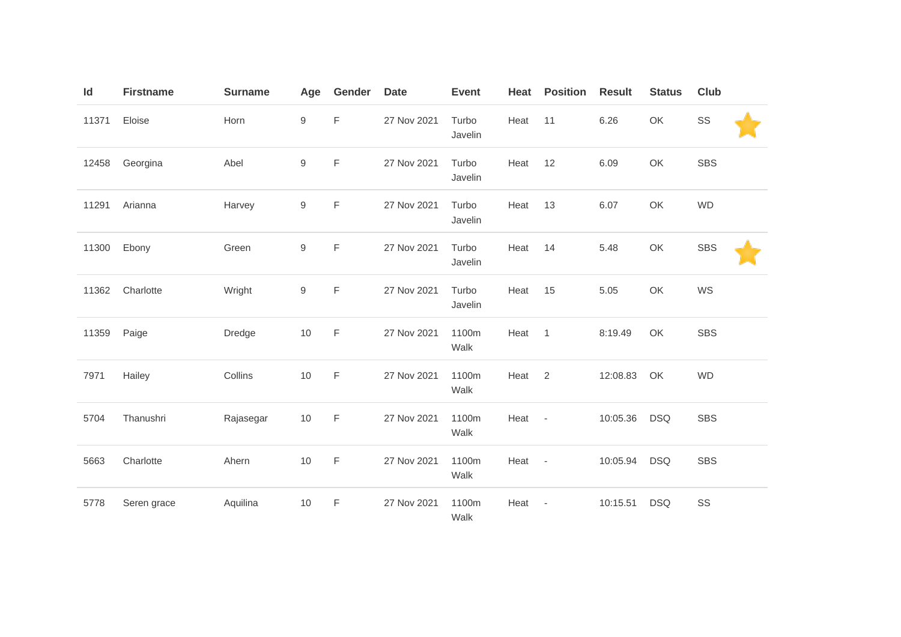| Id    | <b>Firstname</b> | <b>Surname</b> | Age              | Gender      | <b>Date</b> | <b>Event</b>     | Heat | <b>Position</b>          | <b>Result</b> | <b>Status</b> | <b>Club</b> |
|-------|------------------|----------------|------------------|-------------|-------------|------------------|------|--------------------------|---------------|---------------|-------------|
| 11371 | Eloise           | Horn           | 9                | F           | 27 Nov 2021 | Turbo<br>Javelin | Heat | 11                       | 6.26          | OK            | SS          |
| 12458 | Georgina         | Abel           | $\boldsymbol{9}$ | F           | 27 Nov 2021 | Turbo<br>Javelin | Heat | 12                       | 6.09          | OK            | <b>SBS</b>  |
| 11291 | Arianna          | Harvey         | 9                | F           | 27 Nov 2021 | Turbo<br>Javelin | Heat | 13                       | 6.07          | OK            | <b>WD</b>   |
| 11300 | Ebony            | Green          | 9                | F           | 27 Nov 2021 | Turbo<br>Javelin | Heat | 14                       | 5.48          | OK            | <b>SBS</b>  |
| 11362 | Charlotte        | Wright         | $\boldsymbol{9}$ | F           | 27 Nov 2021 | Turbo<br>Javelin | Heat | 15                       | 5.05          | OK            | WS          |
| 11359 | Paige            | Dredge         | 10               | F           | 27 Nov 2021 | 1100m<br>Walk    | Heat | $\overline{1}$           | 8:19.49       | OK            | <b>SBS</b>  |
| 7971  | Hailey           | Collins        | $10$             | F           | 27 Nov 2021 | 1100m<br>Walk    | Heat | 2                        | 12:08.83      | OK            | <b>WD</b>   |
| 5704  | Thanushri        | Rajasegar      | 10               | $\mathsf F$ | 27 Nov 2021 | 1100m<br>Walk    | Heat | $\sim$                   | 10:05.36      | <b>DSQ</b>    | <b>SBS</b>  |
| 5663  | Charlotte        | Ahern          | 10               | $\mathsf F$ | 27 Nov 2021 | 1100m<br>Walk    | Heat | $\overline{\phantom{a}}$ | 10:05.94      | <b>DSQ</b>    | <b>SBS</b>  |
| 5778  | Seren grace      | Aquilina       | $10$             | $\mathsf F$ | 27 Nov 2021 | 1100m<br>Walk    | Heat | $\overline{\phantom{a}}$ | 10:15.51      | <b>DSQ</b>    | SS          |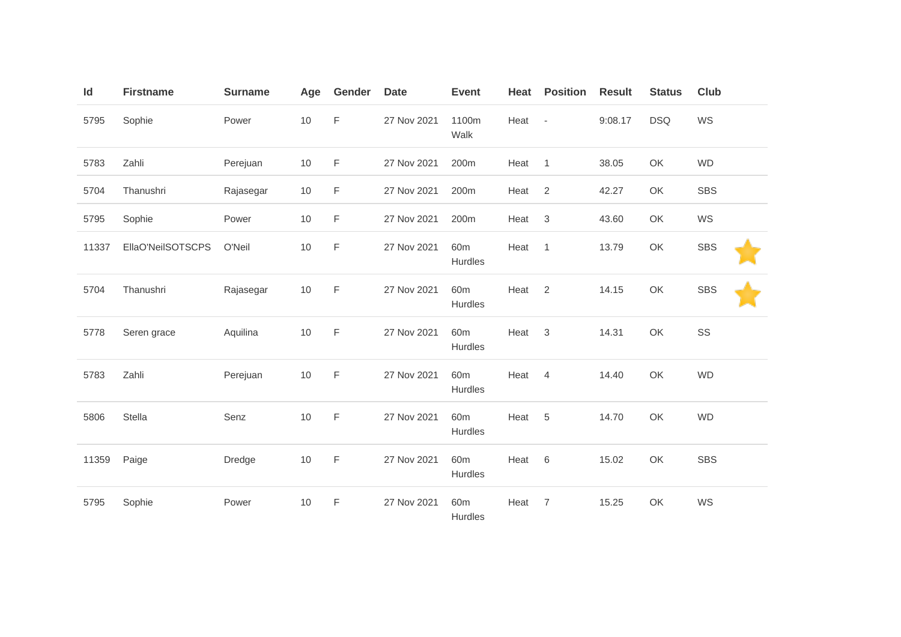| Id    | <b>Firstname</b>  | <b>Surname</b> | Age | Gender      | <b>Date</b> | <b>Event</b>               | Heat   | <b>Position</b>            | <b>Result</b> | <b>Status</b> | <b>Club</b> |
|-------|-------------------|----------------|-----|-------------|-------------|----------------------------|--------|----------------------------|---------------|---------------|-------------|
| 5795  | Sophie            | Power          | 10  | F           | 27 Nov 2021 | 1100m<br>Walk              | Heat - |                            | 9:08.17       | <b>DSQ</b>    | WS          |
| 5783  | Zahli             | Perejuan       | 10  | F           | 27 Nov 2021 | 200m                       | Heat   | $\overline{1}$             | 38.05         | OK            | <b>WD</b>   |
| 5704  | Thanushri         | Rajasegar      | 10  | F           | 27 Nov 2021 | 200m                       | Heat   | 2                          | 42.27         | OK            | <b>SBS</b>  |
| 5795  | Sophie            | Power          | 10  | F           | 27 Nov 2021 | 200m                       | Heat   | 3                          | 43.60         | OK            | WS          |
| 11337 | EllaO'NeilSOTSCPS | O'Neil         | 10  | F           | 27 Nov 2021 | 60 <sub>m</sub><br>Hurdles | Heat   | $\overline{1}$             | 13.79         | OK            | <b>SBS</b>  |
| 5704  | Thanushri         | Rajasegar      | 10  | F           | 27 Nov 2021 | 60 <sub>m</sub><br>Hurdles | Heat   | $\overline{\phantom{0}}^2$ | 14.15         | OK            | <b>SBS</b>  |
| 5778  | Seren grace       | Aquilina       | 10  | F           | 27 Nov 2021 | 60 <sub>m</sub><br>Hurdles | Heat   | 3                          | 14.31         | OK            | SS          |
| 5783  | Zahli             | Perejuan       | 10  | $\mathsf F$ | 27 Nov 2021 | 60 <sub>m</sub><br>Hurdles | Heat   | 4                          | 14.40         | OK            | <b>WD</b>   |
| 5806  | Stella            | Senz           | 10  | F           | 27 Nov 2021 | 60 <sub>m</sub><br>Hurdles | Heat   | $5\phantom{.0}$            | 14.70         | OK            | <b>WD</b>   |
| 11359 | Paige             | Dredge         | 10  | F           | 27 Nov 2021 | 60 <sub>m</sub><br>Hurdles | Heat   | 6                          | 15.02         | OK            | <b>SBS</b>  |
| 5795  | Sophie            | Power          | 10  | F           | 27 Nov 2021 | 60 <sub>m</sub><br>Hurdles | Heat   | $\overline{7}$             | 15.25         | OK            | WS          |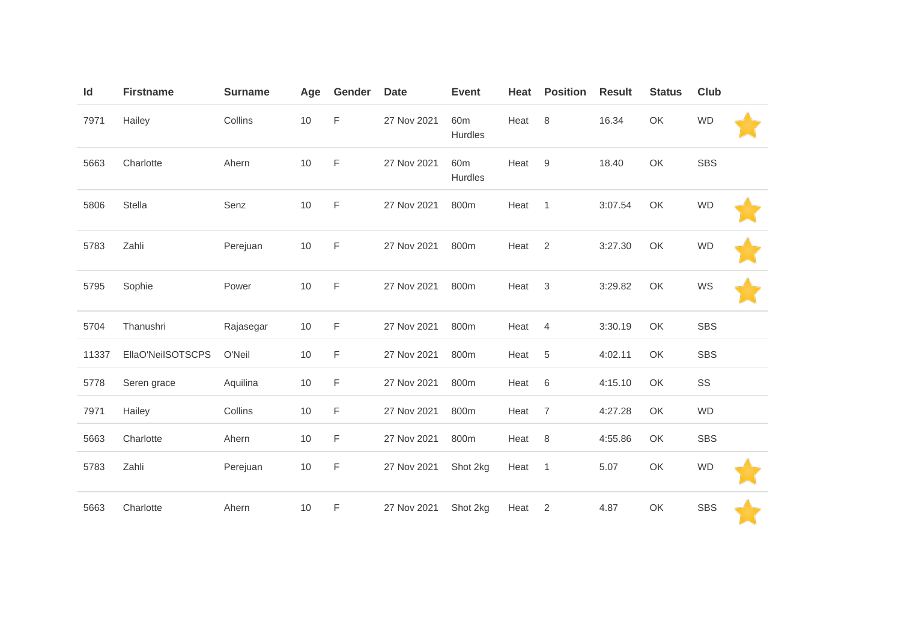| Id    | <b>Firstname</b>  | <b>Surname</b> | Age | Gender      | <b>Date</b> | <b>Event</b>               | Heat | <b>Position</b>  | <b>Result</b> | <b>Status</b> | <b>Club</b> |  |
|-------|-------------------|----------------|-----|-------------|-------------|----------------------------|------|------------------|---------------|---------------|-------------|--|
| 7971  | Hailey            | Collins        | 10  | F           | 27 Nov 2021 | 60 <sub>m</sub><br>Hurdles | Heat | 8                | 16.34         | OK            | <b>WD</b>   |  |
| 5663  | Charlotte         | Ahern          | 10  | F           | 27 Nov 2021 | 60 <sub>m</sub><br>Hurdles | Heat | $\boldsymbol{9}$ | 18.40         | OK            | <b>SBS</b>  |  |
| 5806  | Stella            | Senz           | 10  | $\mathsf F$ | 27 Nov 2021 | 800m                       | Heat | $\overline{1}$   | 3:07.54       | OK            | <b>WD</b>   |  |
| 5783  | Zahli             | Perejuan       | 10  | F           | 27 Nov 2021 | 800m                       | Heat | $\overline{2}$   | 3:27.30       | OK            | <b>WD</b>   |  |
| 5795  | Sophie            | Power          | 10  | $\mathsf F$ | 27 Nov 2021 | 800m                       | Heat | $\mathbf{3}$     | 3:29.82       | OK            | WS          |  |
| 5704  | Thanushri         | Rajasegar      | 10  | F           | 27 Nov 2021 | 800m                       | Heat | 4                | 3:30.19       | OK            | <b>SBS</b>  |  |
| 11337 | EllaO'NeilSOTSCPS | O'Neil         | 10  | F           | 27 Nov 2021 | 800m                       | Heat | $\sqrt{5}$       | 4:02.11       | OK            | <b>SBS</b>  |  |
| 5778  | Seren grace       | Aquilina       | 10  | F           | 27 Nov 2021 | 800m                       | Heat | 6                | 4:15.10       | OK            | SS          |  |
| 7971  | Hailey            | Collins        | 10  | F           | 27 Nov 2021 | 800m                       | Heat | $\overline{7}$   | 4:27.28       | OK            | <b>WD</b>   |  |
| 5663  | Charlotte         | Ahern          | 10  | F           | 27 Nov 2021 | 800m                       | Heat | 8                | 4:55.86       | OK            | <b>SBS</b>  |  |
| 5783  | Zahli             | Perejuan       | 10  | F           | 27 Nov 2021 | Shot 2kg                   | Heat | $\overline{1}$   | 5.07          | OK            | <b>WD</b>   |  |
| 5663  | Charlotte         | Ahern          | 10  | F           | 27 Nov 2021 | Shot 2kg                   | Heat | 2                | 4.87          | OK            | <b>SBS</b>  |  |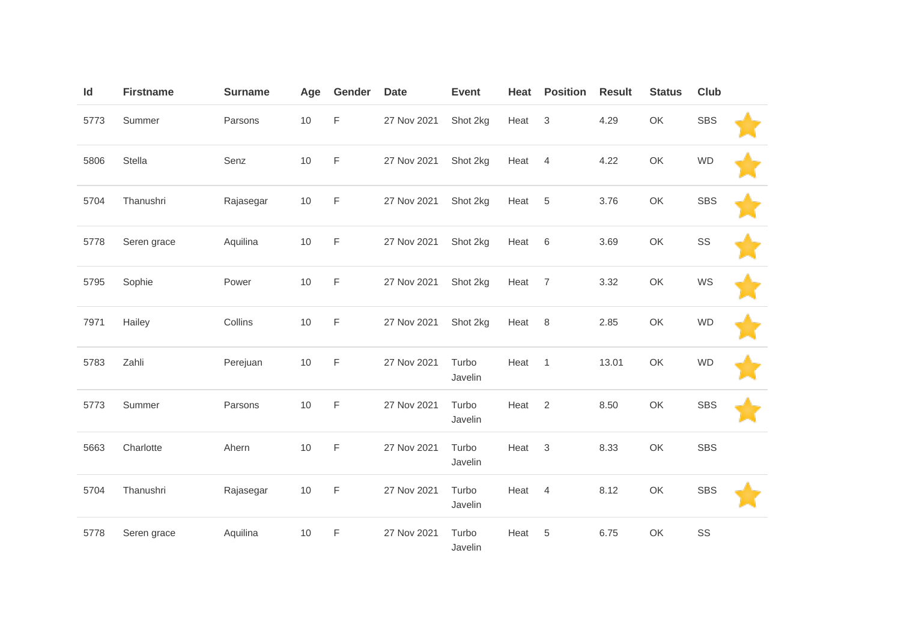| Id   | <b>Firstname</b> | <b>Surname</b> | Age  | Gender      | <b>Date</b> | <b>Event</b>     | Heat | <b>Position</b> | <b>Result</b> | <b>Status</b> | Club       |  |
|------|------------------|----------------|------|-------------|-------------|------------------|------|-----------------|---------------|---------------|------------|--|
| 5773 | Summer           | Parsons        | $10$ | F           | 27 Nov 2021 | Shot 2kg         | Heat | $\mathbf{3}$    | 4.29          | OK            | <b>SBS</b> |  |
| 5806 | Stella           | Senz           | 10   | F           | 27 Nov 2021 | Shot 2kg         | Heat | $\overline{4}$  | 4.22          | OK            | <b>WD</b>  |  |
| 5704 | Thanushri        | Rajasegar      | 10   | $\mathsf F$ | 27 Nov 2021 | Shot 2kg         | Heat | $\overline{5}$  | 3.76          | OK            | <b>SBS</b> |  |
| 5778 | Seren grace      | Aquilina       | 10   | F           | 27 Nov 2021 | Shot 2kg         | Heat | 6               | 3.69          | OK            | SS         |  |
| 5795 | Sophie           | Power          | $10$ | F           | 27 Nov 2021 | Shot 2kg         | Heat | $\overline{7}$  | 3.32          | OK            | WS         |  |
| 7971 | Hailey           | Collins        | 10   | F           | 27 Nov 2021 | Shot 2kg         | Heat | 8               | 2.85          | OK            | <b>WD</b>  |  |
| 5783 | Zahli            | Perejuan       | 10   | F           | 27 Nov 2021 | Turbo<br>Javelin | Heat | $\overline{1}$  | 13.01         | OK            | <b>WD</b>  |  |
| 5773 | Summer           | Parsons        | 10   | F           | 27 Nov 2021 | Turbo<br>Javelin | Heat | 2               | 8.50          | OK            | <b>SBS</b> |  |
| 5663 | Charlotte        | Ahern          | 10   | F           | 27 Nov 2021 | Turbo<br>Javelin | Heat | 3               | 8.33          | OK            | <b>SBS</b> |  |
| 5704 | Thanushri        | Rajasegar      | 10   | F           | 27 Nov 2021 | Turbo<br>Javelin | Heat | $\overline{4}$  | 8.12          | OK            | <b>SBS</b> |  |
| 5778 | Seren grace      | Aquilina       | 10   | F           | 27 Nov 2021 | Turbo<br>Javelin | Heat | 5               | 6.75          | OK            | SS         |  |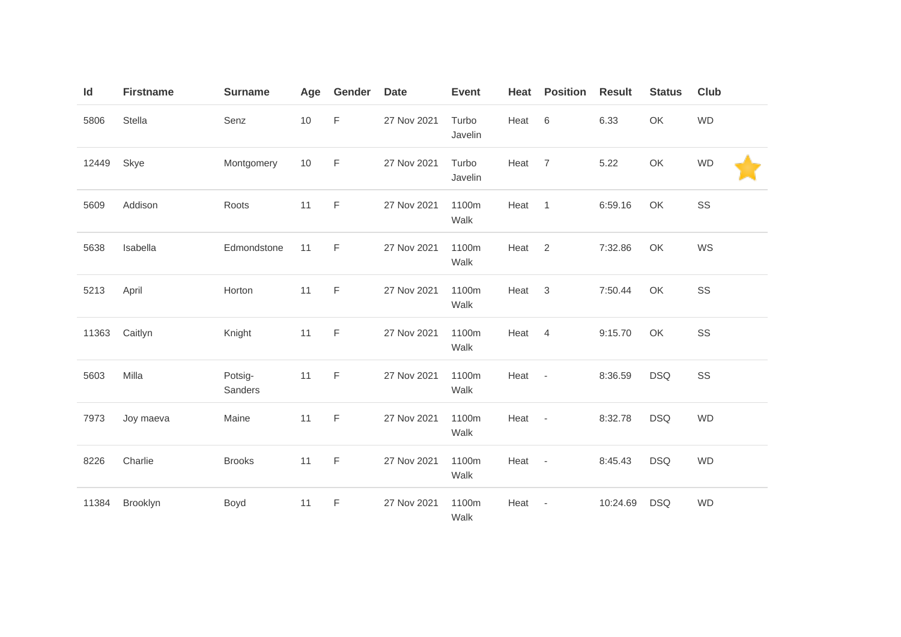| Id    | <b>Firstname</b> | <b>Surname</b>     | Age  | Gender      | <b>Date</b> | <b>Event</b>     | Heat | <b>Position</b>          | <b>Result</b> | <b>Status</b> | <b>Club</b> |
|-------|------------------|--------------------|------|-------------|-------------|------------------|------|--------------------------|---------------|---------------|-------------|
| 5806  | Stella           | Senz               | $10$ | F           | 27 Nov 2021 | Turbo<br>Javelin | Heat | 6                        | 6.33          | OK            | <b>WD</b>   |
| 12449 | Skye             | Montgomery         | 10   | F           | 27 Nov 2021 | Turbo<br>Javelin | Heat | $\overline{7}$           | 5.22          | OK            | <b>WD</b>   |
| 5609  | Addison          | Roots              | 11   | F           | 27 Nov 2021 | 1100m<br>Walk    | Heat | $\overline{1}$           | 6:59.16       | OK            | SS          |
| 5638  | Isabella         | Edmondstone        | 11   | F           | 27 Nov 2021 | 1100m<br>Walk    | Heat | 2                        | 7:32.86       | OK            | WS          |
| 5213  | April            | Horton             | 11   | F           | 27 Nov 2021 | 1100m<br>Walk    | Heat | $\mathbf{3}$             | 7:50.44       | OK            | SS          |
| 11363 | Caitlyn          | Knight             | 11   | F           | 27 Nov 2021 | 1100m<br>Walk    | Heat | $\overline{4}$           | 9:15.70       | OK            | SS          |
| 5603  | Milla            | Potsig-<br>Sanders | 11   | F           | 27 Nov 2021 | 1100m<br>Walk    | Heat | $\overline{\phantom{a}}$ | 8:36.59       | <b>DSQ</b>    | SS          |
| 7973  | Joy maeva        | Maine              | 11   | $\mathsf F$ | 27 Nov 2021 | 1100m<br>Walk    | Heat | $\sim$                   | 8:32.78       | <b>DSQ</b>    | <b>WD</b>   |
| 8226  | Charlie          | <b>Brooks</b>      | 11   | $\mathsf F$ | 27 Nov 2021 | 1100m<br>Walk    | Heat | $\overline{\phantom{a}}$ | 8:45.43       | <b>DSQ</b>    | <b>WD</b>   |
| 11384 | Brooklyn         | Boyd               | 11   | $\mathsf F$ | 27 Nov 2021 | 1100m<br>Walk    | Heat | $\overline{\phantom{a}}$ | 10:24.69      | <b>DSQ</b>    | <b>WD</b>   |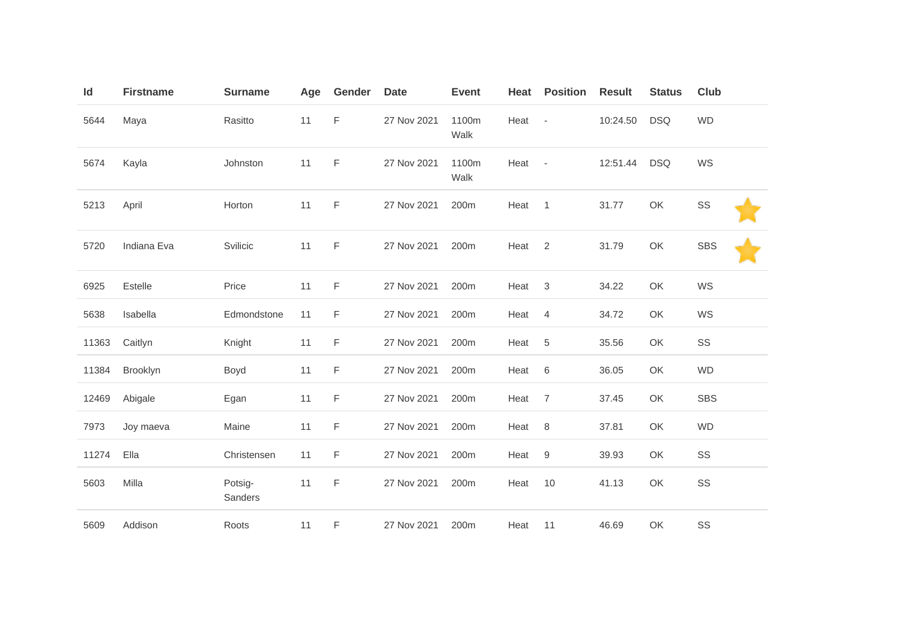| Id    | <b>Firstname</b> | <b>Surname</b>     | Age | Gender      | <b>Date</b> | <b>Event</b>     | Heat | <b>Position</b>          | <b>Result</b> | <b>Status</b> | <b>Club</b> |
|-------|------------------|--------------------|-----|-------------|-------------|------------------|------|--------------------------|---------------|---------------|-------------|
| 5644  | Maya             | Rasitto            | 11  | $\mathsf F$ | 27 Nov 2021 | 1100m<br>Walk    | Heat | $\overline{\phantom{a}}$ | 10:24.50      | <b>DSQ</b>    | <b>WD</b>   |
| 5674  | Kayla            | Johnston           | 11  | F           | 27 Nov 2021 | 1100m<br>Walk    | Heat | $\sim$                   | 12:51.44      | <b>DSQ</b>    | WS          |
| 5213  | April            | Horton             | 11  | F           | 27 Nov 2021 | 200m             | Heat | $\overline{1}$           | 31.77         | OK            | SS          |
| 5720  | Indiana Eva      | Svilicic           | 11  | F           | 27 Nov 2021 | 200 <sub>m</sub> | Heat | 2                        | 31.79         | OK            | <b>SBS</b>  |
| 6925  | Estelle          | Price              | 11  | F           | 27 Nov 2021 | 200m             | Heat | 3                        | 34.22         | OK            | WS          |
| 5638  | Isabella         | Edmondstone        | 11  | F           | 27 Nov 2021 | 200m             | Heat | $\overline{4}$           | 34.72         | OK            | WS          |
| 11363 | Caitlyn          | Knight             | 11  | F           | 27 Nov 2021 | 200m             | Heat | 5                        | 35.56         | OK            | SS          |
| 11384 | Brooklyn         | Boyd               | 11  | F           | 27 Nov 2021 | 200m             | Heat | 6                        | 36.05         | OK            | WD          |
| 12469 | Abigale          | Egan               | 11  | F           | 27 Nov 2021 | 200m             | Heat | $\overline{7}$           | 37.45         | OK            | <b>SBS</b>  |
| 7973  | Joy maeva        | Maine              | 11  | F           | 27 Nov 2021 | 200m             | Heat | 8                        | 37.81         | OK            | <b>WD</b>   |
| 11274 | Ella             | Christensen        | 11  | F           | 27 Nov 2021 | 200m             | Heat | $\hbox{9}$               | 39.93         | OK            | SS          |
| 5603  | Milla            | Potsig-<br>Sanders | 11  | F           | 27 Nov 2021 | 200m             | Heat | 10                       | 41.13         | OK            | SS          |
| 5609  | Addison          | Roots              | 11  | F           | 27 Nov 2021 | 200m             | Heat | 11                       | 46.69         | OK            | SS          |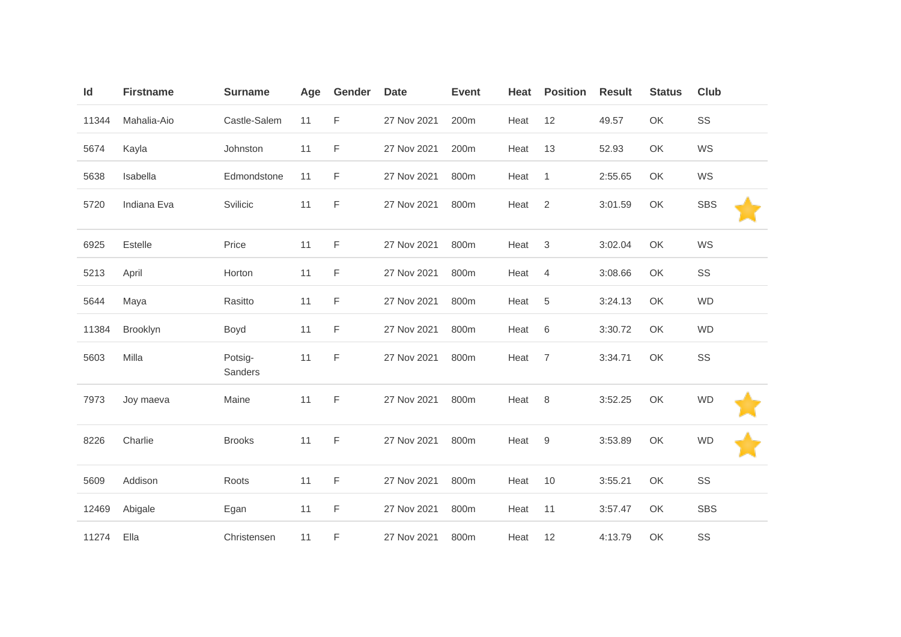| Id    | <b>Firstname</b> | <b>Surname</b>     | Age | Gender | <b>Date</b> | <b>Event</b> | Heat | <b>Position</b> | <b>Result</b> | <b>Status</b> | <b>Club</b> |
|-------|------------------|--------------------|-----|--------|-------------|--------------|------|-----------------|---------------|---------------|-------------|
| 11344 | Mahalia-Aio      | Castle-Salem       | 11  | F      | 27 Nov 2021 | 200m         | Heat | 12              | 49.57         | OK            | SS          |
| 5674  | Kayla            | Johnston           | 11  | F      | 27 Nov 2021 | 200m         | Heat | 13              | 52.93         | OK            | WS          |
| 5638  | Isabella         | Edmondstone        | 11  | F      | 27 Nov 2021 | 800m         | Heat | $\mathbf{1}$    | 2:55.65       | OK            | WS          |
| 5720  | Indiana Eva      | Svilicic           | 11  | F      | 27 Nov 2021 | 800m         | Heat | $\overline{2}$  | 3:01.59       | OK            | <b>SBS</b>  |
| 6925  | Estelle          | Price              | 11  | F      | 27 Nov 2021 | 800m         | Heat | $\sqrt{3}$      | 3:02.04       | OK            | WS          |
| 5213  | April            | Horton             | 11  | F      | 27 Nov 2021 | 800m         | Heat | 4               | 3:08.66       | OK            | SS          |
| 5644  | Maya             | Rasitto            | 11  | F      | 27 Nov 2021 | 800m         | Heat | $\sqrt{5}$      | 3:24.13       | OK            | <b>WD</b>   |
| 11384 | Brooklyn         | Boyd               | 11  | F      | 27 Nov 2021 | 800m         | Heat | 6               | 3:30.72       | OK            | <b>WD</b>   |
| 5603  | Milla            | Potsig-<br>Sanders | 11  | F      | 27 Nov 2021 | 800m         | Heat | $\overline{7}$  | 3:34.71       | OK            | SS          |
| 7973  | Joy maeva        | Maine              | 11  | F      | 27 Nov 2021 | 800m         | Heat | 8               | 3:52.25       | OK            | <b>WD</b>   |
| 8226  | Charlie          | <b>Brooks</b>      | 11  | F      | 27 Nov 2021 | 800m         | Heat | 9               | 3:53.89       | OK            | <b>WD</b>   |
| 5609  | Addison          | Roots              | 11  | F      | 27 Nov 2021 | 800m         | Heat | 10              | 3:55.21       | OK            | SS          |
| 12469 | Abigale          | Egan               | 11  | F      | 27 Nov 2021 | 800m         | Heat | 11              | 3:57.47       | OK            | <b>SBS</b>  |
| 11274 | Ella             | Christensen        | 11  | F      | 27 Nov 2021 | 800m         | Heat | 12              | 4:13.79       | OK            | SS          |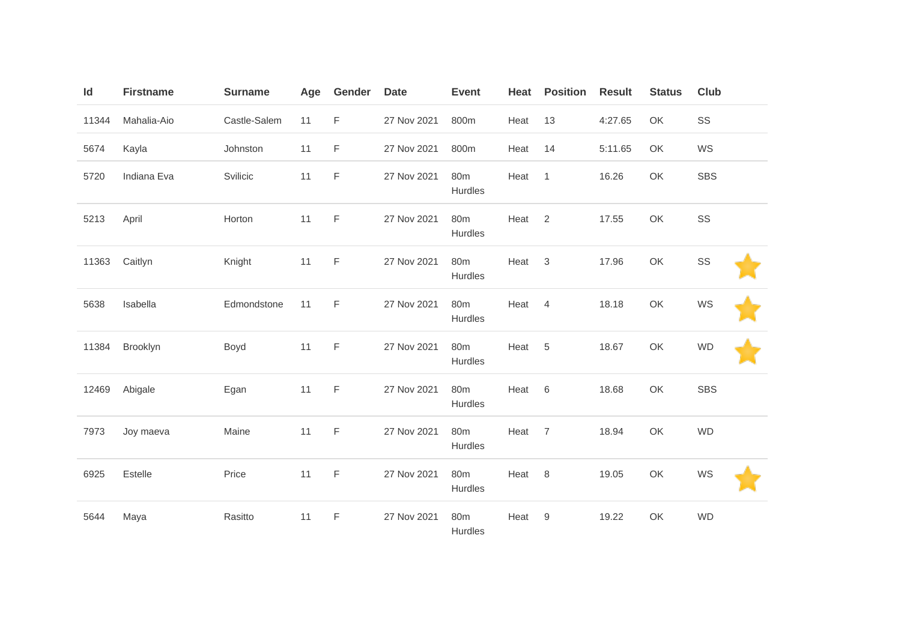| Id    | <b>Firstname</b> | <b>Surname</b> | Age | Gender      | <b>Date</b> | <b>Event</b>               | Heat | <b>Position</b> | <b>Result</b> | <b>Status</b> | Club       |
|-------|------------------|----------------|-----|-------------|-------------|----------------------------|------|-----------------|---------------|---------------|------------|
| 11344 | Mahalia-Aio      | Castle-Salem   | 11  | F           | 27 Nov 2021 | 800m                       | Heat | 13              | 4:27.65       | OK            | SS         |
| 5674  | Kayla            | Johnston       | 11  | F           | 27 Nov 2021 | 800m                       | Heat | 14              | 5:11.65       | OK            | WS         |
| 5720  | Indiana Eva      | Svilicic       | 11  | $\mathsf F$ | 27 Nov 2021 | 80m<br>Hurdles             | Heat | $\overline{1}$  | 16.26         | OK            | <b>SBS</b> |
| 5213  | April            | Horton         | 11  | F           | 27 Nov 2021 | 80m<br>Hurdles             | Heat | $\overline{2}$  | 17.55         | OK            | SS         |
| 11363 | Caitlyn          | Knight         | 11  | $\mathsf F$ | 27 Nov 2021 | 80m<br>Hurdles             | Heat | $\mathbf{3}$    | 17.96         | OK            | SS         |
| 5638  | Isabella         | Edmondstone    | 11  | F           | 27 Nov 2021 | 80m<br>Hurdles             | Heat | $\overline{4}$  | 18.18         | OK            | WS         |
| 11384 | Brooklyn         | Boyd           | 11  | F           | 27 Nov 2021 | 80 <sub>m</sub><br>Hurdles | Heat | 5               | 18.67         | OK            | <b>WD</b>  |
| 12469 | Abigale          | Egan           | 11  | $\mathsf F$ | 27 Nov 2021 | 80m<br>Hurdles             | Heat | $6\,$           | 18.68         | OK            | <b>SBS</b> |
| 7973  | Joy maeva        | Maine          | 11  | $\mathsf F$ | 27 Nov 2021 | 80m<br>Hurdles             | Heat | $\overline{7}$  | 18.94         | OK            | <b>WD</b>  |
| 6925  | Estelle          | Price          | 11  | F           | 27 Nov 2021 | 80 <sub>m</sub><br>Hurdles | Heat | 8               | 19.05         | OK            | WS         |
| 5644  | Maya             | Rasitto        | 11  | $\mathsf F$ | 27 Nov 2021 | 80m<br>Hurdles             | Heat | 9               | 19.22         | OK            | <b>WD</b>  |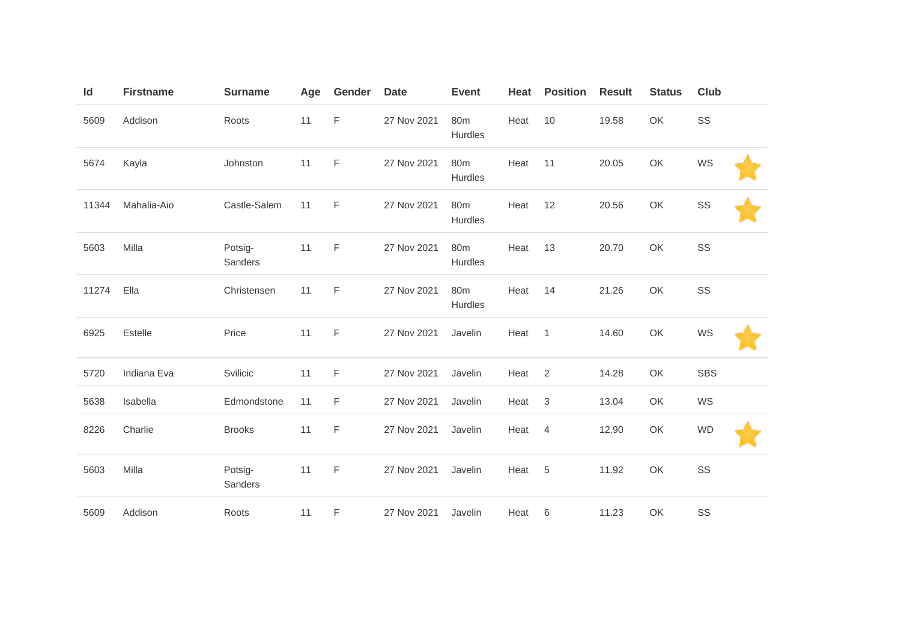| Id    | <b>Firstname</b> | <b>Surname</b>     | Age | Gender | <b>Date</b> | <b>Event</b>               | Heat | <b>Position</b> | <b>Result</b> | <b>Status</b> | <b>Club</b> |  |
|-------|------------------|--------------------|-----|--------|-------------|----------------------------|------|-----------------|---------------|---------------|-------------|--|
| 5609  | Addison          | Roots              | 11  | F      | 27 Nov 2021 | 80 <sub>m</sub><br>Hurdles | Heat | 10              | 19.58         | OK            | SS          |  |
| 5674  | Kayla            | Johnston           | 11  | F      | 27 Nov 2021 | 80 <sub>m</sub><br>Hurdles | Heat | 11              | 20.05         | OK            | WS          |  |
| 11344 | Mahalia-Aio      | Castle-Salem       | 11  | F      | 27 Nov 2021 | 80m<br>Hurdles             | Heat | 12              | 20.56         | OK            | SS          |  |
| 5603  | Milla            | Potsig-<br>Sanders | 11  | F      | 27 Nov 2021 | 80 <sub>m</sub><br>Hurdles | Heat | 13              | 20.70         | OK            | SS          |  |
| 11274 | Ella             | Christensen        | 11  | F      | 27 Nov 2021 | 80 <sub>m</sub><br>Hurdles | Heat | 14              | 21.26         | OK            | SS          |  |
| 6925  | Estelle          | Price              | 11  | F      | 27 Nov 2021 | Javelin                    | Heat | $\mathbf{1}$    | 14.60         | OK            | WS          |  |
| 5720  | Indiana Eva      | Svilicic           | 11  | F      | 27 Nov 2021 | Javelin                    | Heat | $\overline{2}$  | 14.28         | OK            | <b>SBS</b>  |  |
| 5638  | Isabella         | Edmondstone        | 11  | F      | 27 Nov 2021 | Javelin                    | Heat | $\sqrt{3}$      | 13.04         | OK            | WS          |  |
| 8226  | Charlie          | <b>Brooks</b>      | 11  | F      | 27 Nov 2021 | Javelin                    | Heat | $\overline{4}$  | 12.90         | OK            | <b>WD</b>   |  |
| 5603  | Milla            | Potsig-<br>Sanders | 11  | F      | 27 Nov 2021 | Javelin                    | Heat | 5               | 11.92         | OK            | SS          |  |
| 5609  | Addison          | Roots              | 11  | F      | 27 Nov 2021 | Javelin                    | Heat | 6               | 11.23         | OK            | SS          |  |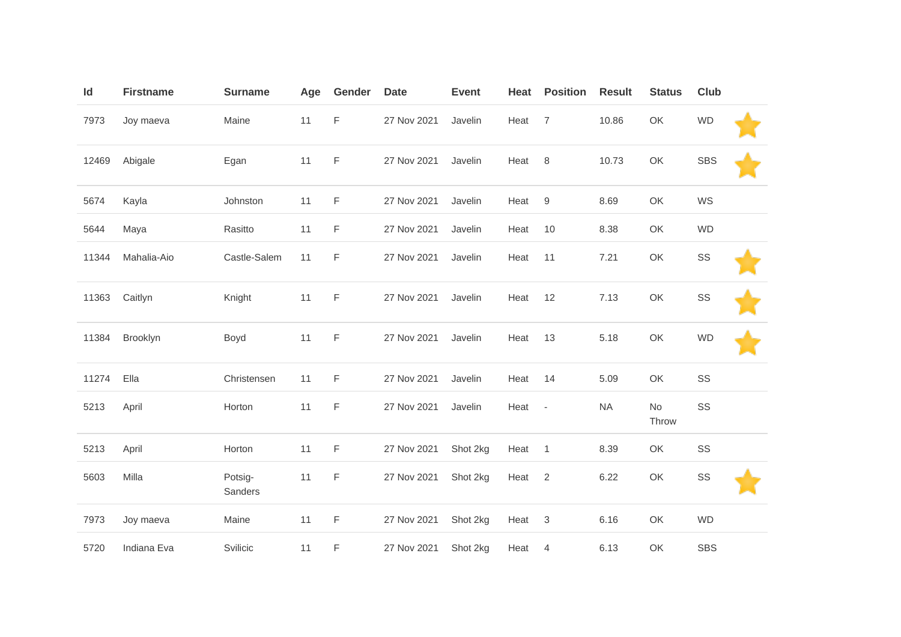| Id    | <b>Firstname</b> | <b>Surname</b>     | Age | Gender      | <b>Date</b> | <b>Event</b> | Heat | <b>Position</b> | <b>Result</b> | <b>Status</b> | <b>Club</b> |  |
|-------|------------------|--------------------|-----|-------------|-------------|--------------|------|-----------------|---------------|---------------|-------------|--|
| 7973  | Joy maeva        | Maine              | 11  | F           | 27 Nov 2021 | Javelin      | Heat | $\overline{7}$  | 10.86         | OK            | <b>WD</b>   |  |
| 12469 | Abigale          | Egan               | 11  | F           | 27 Nov 2021 | Javelin      | Heat | $\,8\,$         | 10.73         | OK            | <b>SBS</b>  |  |
| 5674  | Kayla            | Johnston           | 11  | F           | 27 Nov 2021 | Javelin      | Heat | 9               | 8.69          | OK            | WS          |  |
| 5644  | Maya             | Rasitto            | 11  | F           | 27 Nov 2021 | Javelin      | Heat | 10              | 8.38          | OK            | <b>WD</b>   |  |
| 11344 | Mahalia-Aio      | Castle-Salem       | 11  | F           | 27 Nov 2021 | Javelin      | Heat | 11              | 7.21          | OK            | SS          |  |
| 11363 | Caitlyn          | Knight             | 11  | F           | 27 Nov 2021 | Javelin      | Heat | 12              | 7.13          | OK            | SS          |  |
| 11384 | Brooklyn         | Boyd               | 11  | $\mathsf F$ | 27 Nov 2021 | Javelin      | Heat | 13              | 5.18          | OK            | <b>WD</b>   |  |
| 11274 | Ella             | Christensen        | 11  | F           | 27 Nov 2021 | Javelin      | Heat | 14              | 5.09          | OK            | SS          |  |
| 5213  | April            | Horton             | 11  | F           | 27 Nov 2021 | Javelin      | Heat | $\blacksquare$  | <b>NA</b>     | No<br>Throw   | SS          |  |
| 5213  | April            | Horton             | 11  | F           | 27 Nov 2021 | Shot 2kg     | Heat | $\overline{1}$  | 8.39          | OK            | SS          |  |
| 5603  | Milla            | Potsig-<br>Sanders | 11  | F           | 27 Nov 2021 | Shot 2kg     | Heat | $\overline{2}$  | 6.22          | OK            | SS          |  |
| 7973  | Joy maeva        | Maine              | 11  | F           | 27 Nov 2021 | Shot 2kg     | Heat | $\sqrt{3}$      | 6.16          | OK            | <b>WD</b>   |  |
| 5720  | Indiana Eva      | Svilicic           | 11  | F           | 27 Nov 2021 | Shot 2kg     | Heat | 4               | 6.13          | OK            | <b>SBS</b>  |  |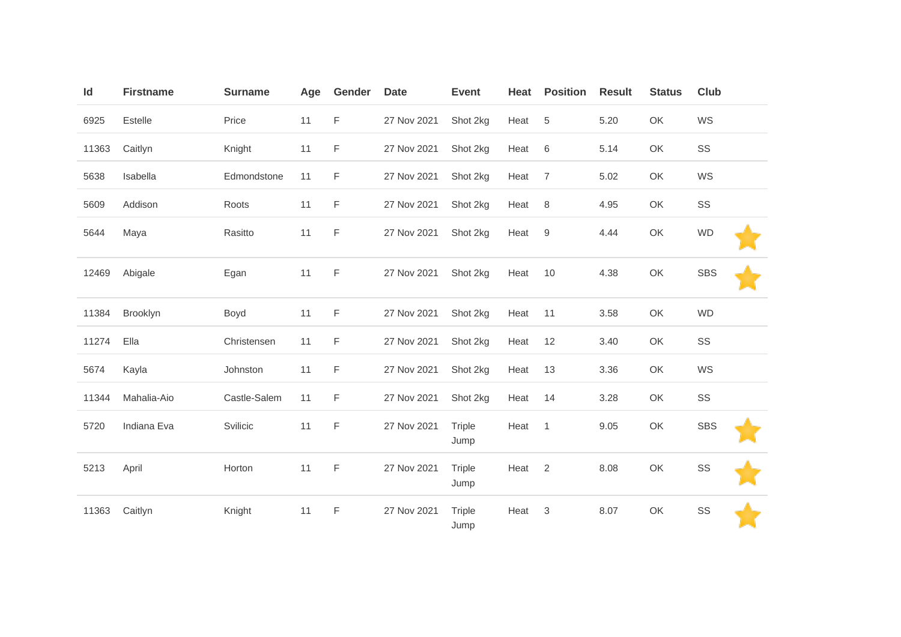| Id    | <b>Firstname</b> | <b>Surname</b> | Age | Gender | <b>Date</b> | <b>Event</b>          | Heat | <b>Position</b> | <b>Result</b> | <b>Status</b> | Club       |  |
|-------|------------------|----------------|-----|--------|-------------|-----------------------|------|-----------------|---------------|---------------|------------|--|
| 6925  | Estelle          | Price          | 11  | F      | 27 Nov 2021 | Shot 2kg              | Heat | 5               | 5.20          | OK            | WS         |  |
| 11363 | Caitlyn          | Knight         | 11  | F      | 27 Nov 2021 | Shot 2kg              | Heat | 6               | 5.14          | OK            | SS         |  |
| 5638  | Isabella         | Edmondstone    | 11  | F      | 27 Nov 2021 | Shot 2kg              | Heat | $\overline{7}$  | 5.02          | OK            | WS         |  |
| 5609  | Addison          | Roots          | 11  | F      | 27 Nov 2021 | Shot 2kg              | Heat | 8               | 4.95          | OK            | SS         |  |
| 5644  | Maya             | Rasitto        | 11  | F      | 27 Nov 2021 | Shot 2kg              | Heat | 9               | 4.44          | OK            | <b>WD</b>  |  |
| 12469 | Abigale          | Egan           | 11  | F      | 27 Nov 2021 | Shot 2kg              | Heat | 10              | 4.38          | OK            | <b>SBS</b> |  |
| 11384 | Brooklyn         | Boyd           | 11  | F.     | 27 Nov 2021 | Shot 2kg              | Heat | 11              | 3.58          | OK            | <b>WD</b>  |  |
| 11274 | Ella             | Christensen    | 11  | F.     | 27 Nov 2021 | Shot 2kg              | Heat | 12              | 3.40          | OK            | SS         |  |
| 5674  | Kayla            | Johnston       | 11  | F      | 27 Nov 2021 | Shot 2kg              | Heat | 13              | 3.36          | OK            | WS         |  |
| 11344 | Mahalia-Aio      | Castle-Salem   | 11  | F      | 27 Nov 2021 | Shot 2kg              | Heat | 14              | 3.28          | OK            | SS         |  |
| 5720  | Indiana Eva      | Svilicic       | 11  | F      | 27 Nov 2021 | <b>Triple</b><br>Jump | Heat | $\overline{1}$  | 9.05          | OK            | <b>SBS</b> |  |
| 5213  | April            | Horton         | 11  | F      | 27 Nov 2021 | <b>Triple</b><br>Jump | Heat | 2               | 8.08          | OK            | SS         |  |
| 11363 | Caitlyn          | Knight         | 11  | F      | 27 Nov 2021 | <b>Triple</b><br>Jump | Heat | 3               | 8.07          | OK            | SS         |  |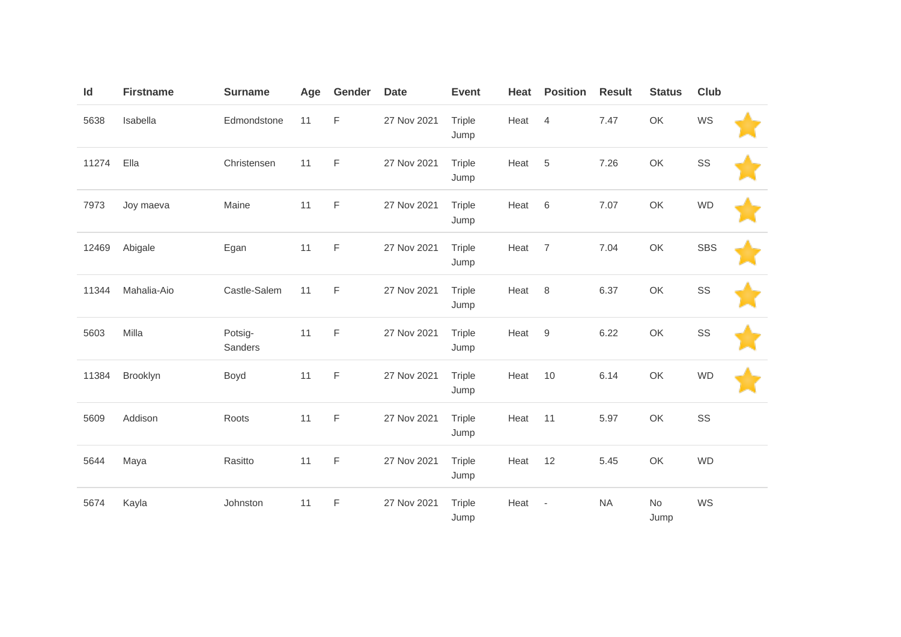| Id    | <b>Firstname</b> | <b>Surname</b>     | Age | Gender      | <b>Date</b> | <b>Event</b>          | Heat | <b>Position</b>          | <b>Result</b> | <b>Status</b> | <b>Club</b> |  |
|-------|------------------|--------------------|-----|-------------|-------------|-----------------------|------|--------------------------|---------------|---------------|-------------|--|
| 5638  | Isabella         | Edmondstone        | 11  | $\mathsf F$ | 27 Nov 2021 | Triple<br>Jump        | Heat | 4                        | 7.47          | OK            | WS          |  |
| 11274 | Ella             | Christensen        | 11  | F           | 27 Nov 2021 | Triple<br>Jump        | Heat | $\sqrt{5}$               | 7.26          | OK            | SS          |  |
| 7973  | Joy maeva        | Maine              | 11  | $\mathsf F$ | 27 Nov 2021 | Triple<br>Jump        | Heat | $6\phantom{1}6$          | 7.07          | OK            | <b>WD</b>   |  |
| 12469 | Abigale          | Egan               | 11  | $\mathsf F$ | 27 Nov 2021 | Triple<br>Jump        | Heat | $\overline{7}$           | 7.04          | OK            | <b>SBS</b>  |  |
| 11344 | Mahalia-Aio      | Castle-Salem       | 11  | $\mathsf F$ | 27 Nov 2021 | <b>Triple</b><br>Jump | Heat | $\,8\,$                  | 6.37          | OK            | SS          |  |
| 5603  | Milla            | Potsig-<br>Sanders | 11  | $\mathsf F$ | 27 Nov 2021 | Triple<br>Jump        | Heat | $9$                      | 6.22          | OK            | SS          |  |
| 11384 | Brooklyn         | Boyd               | 11  | $\mathsf F$ | 27 Nov 2021 | Triple<br>Jump        | Heat | 10                       | 6.14          | OK            | <b>WD</b>   |  |
| 5609  | Addison          | Roots              | 11  | $\mathsf F$ | 27 Nov 2021 | Triple<br>Jump        | Heat | 11                       | 5.97          | OK            | SS          |  |
| 5644  | Maya             | Rasitto            | 11  | F           | 27 Nov 2021 | Triple<br>Jump        | Heat | 12                       | 5.45          | OK            | <b>WD</b>   |  |
| 5674  | Kayla            | Johnston           | 11  | $\mathsf F$ | 27 Nov 2021 | Triple<br>Jump        | Heat | $\overline{\phantom{a}}$ | <b>NA</b>     | No<br>Jump    | WS          |  |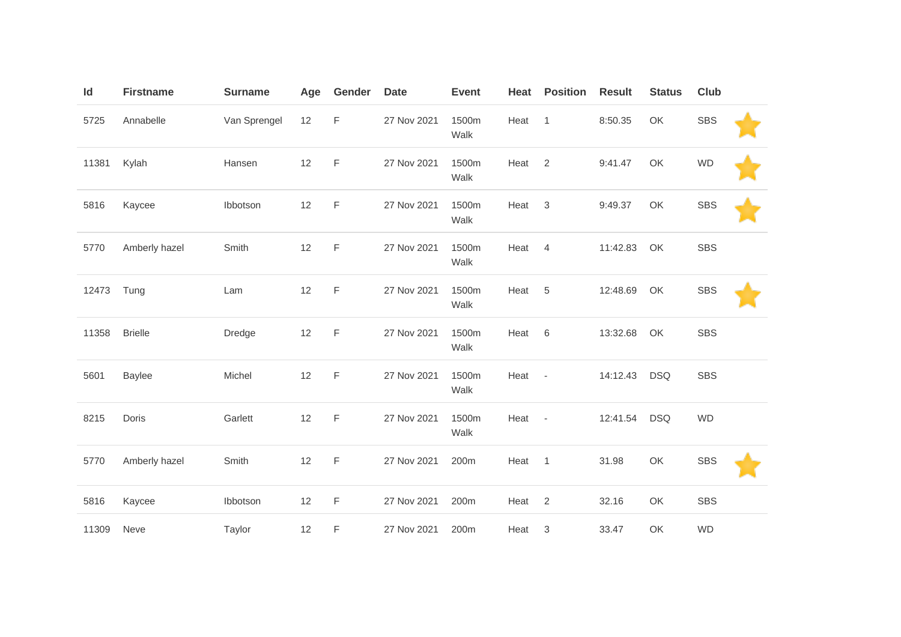| Id    | <b>Firstname</b> | <b>Surname</b> | Age | Gender      | <b>Date</b> | <b>Event</b>  | Heat | <b>Position</b>           | <b>Result</b> | <b>Status</b> | <b>Club</b> |  |
|-------|------------------|----------------|-----|-------------|-------------|---------------|------|---------------------------|---------------|---------------|-------------|--|
| 5725  | Annabelle        | Van Sprengel   | 12  | F           | 27 Nov 2021 | 1500m<br>Walk | Heat | $\mathbf{1}$              | 8:50.35       | OK            | <b>SBS</b>  |  |
| 11381 | Kylah            | Hansen         | 12  | F           | 27 Nov 2021 | 1500m<br>Walk | Heat | 2                         | 9:41.47       | OK            | <b>WD</b>   |  |
| 5816  | Kaycee           | Ibbotson       | 12  | $\mathsf F$ | 27 Nov 2021 | 1500m<br>Walk | Heat | $\mathfrak 3$             | 9:49.37       | OK            | <b>SBS</b>  |  |
| 5770  | Amberly hazel    | Smith          | 12  | F           | 27 Nov 2021 | 1500m<br>Walk | Heat | 4                         | 11:42.83      | OK            | <b>SBS</b>  |  |
| 12473 | Tung             | Lam            | 12  | $\mathsf F$ | 27 Nov 2021 | 1500m<br>Walk | Heat | 5                         | 12:48.69      | OK            | <b>SBS</b>  |  |
| 11358 | <b>Brielle</b>   | Dredge         | 12  | $\mathsf F$ | 27 Nov 2021 | 1500m<br>Walk | Heat | 6                         | 13:32.68      | OK            | <b>SBS</b>  |  |
| 5601  | <b>Baylee</b>    | Michel         | 12  | F           | 27 Nov 2021 | 1500m<br>Walk | Heat | $\overline{\phantom{a}}$  | 14:12.43      | <b>DSQ</b>    | <b>SBS</b>  |  |
| 8215  | Doris            | Garlett        | 12  | $\mathsf F$ | 27 Nov 2021 | 1500m<br>Walk | Heat | $\overline{\phantom{a}}$  | 12:41.54      | <b>DSQ</b>    | <b>WD</b>   |  |
| 5770  | Amberly hazel    | Smith          | 12  | $\mathsf F$ | 27 Nov 2021 | 200m          | Heat | $\mathbf{1}$              | 31.98         | OK            | <b>SBS</b>  |  |
| 5816  | Kaycee           | Ibbotson       | 12  | $\mathsf F$ | 27 Nov 2021 | 200m          | Heat | 2                         | 32.16         | OK            | <b>SBS</b>  |  |
| 11309 | Neve             | Taylor         | 12  | F           | 27 Nov 2021 | 200m          | Heat | $\ensuremath{\mathsf{3}}$ | 33.47         | OK            | <b>WD</b>   |  |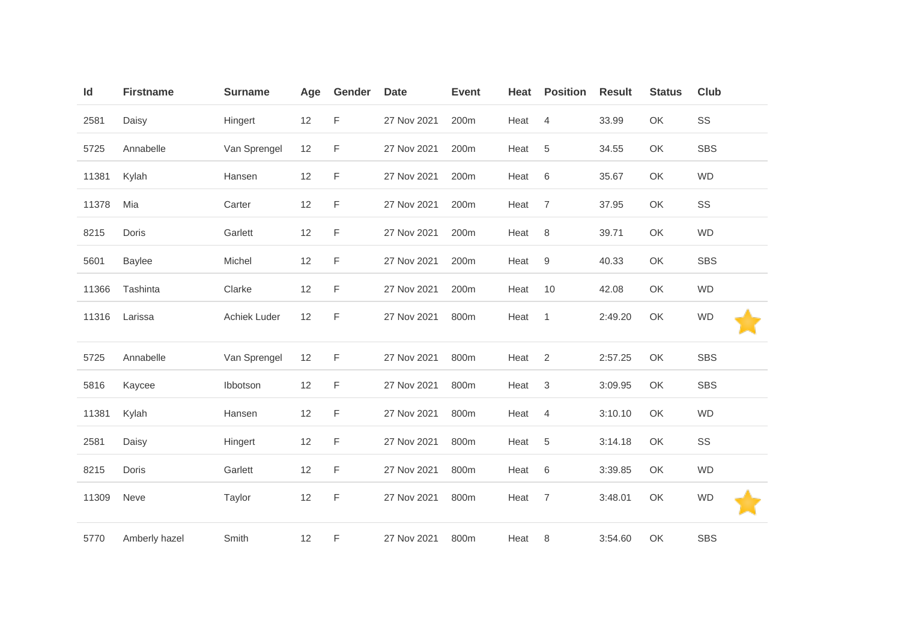| Id    | <b>Firstname</b> | <b>Surname</b> | Age | Gender | <b>Date</b> | <b>Event</b> | Heat | <b>Position</b> | <b>Result</b> | <b>Status</b> | <b>Club</b> |
|-------|------------------|----------------|-----|--------|-------------|--------------|------|-----------------|---------------|---------------|-------------|
| 2581  | Daisy            | Hingert        | 12  | F      | 27 Nov 2021 | 200m         | Heat | $\overline{4}$  | 33.99         | OK            | SS          |
| 5725  | Annabelle        | Van Sprengel   | 12  | F      | 27 Nov 2021 | 200m         | Heat | 5               | 34.55         | OK            | <b>SBS</b>  |
| 11381 | Kylah            | Hansen         | 12  | F      | 27 Nov 2021 | 200m         | Heat | 6               | 35.67         | OK            | <b>WD</b>   |
| 11378 | Mia              | Carter         | 12  | F      | 27 Nov 2021 | 200m         | Heat | $\overline{7}$  | 37.95         | OK            | SS          |
| 8215  | Doris            | Garlett        | 12  | F      | 27 Nov 2021 | 200m         | Heat | 8               | 39.71         | OK            | <b>WD</b>   |
| 5601  | <b>Baylee</b>    | Michel         | 12  | F      | 27 Nov 2021 | 200m         | Heat | 9               | 40.33         | OK            | <b>SBS</b>  |
| 11366 | Tashinta         | Clarke         | 12  | F      | 27 Nov 2021 | 200m         | Heat | 10              | 42.08         | OK            | <b>WD</b>   |
| 11316 | Larissa          | Achiek Luder   | 12  | F      | 27 Nov 2021 | 800m         | Heat | $\overline{1}$  | 2:49.20       | OK            | <b>WD</b>   |
| 5725  | Annabelle        | Van Sprengel   | 12  | F      | 27 Nov 2021 | 800m         | Heat | 2               | 2:57.25       | OK            | <b>SBS</b>  |
| 5816  | Kaycee           | Ibbotson       | 12  | F      | 27 Nov 2021 | 800m         | Heat | 3               | 3:09.95       | OK            | <b>SBS</b>  |
| 11381 | Kylah            | Hansen         | 12  | F      | 27 Nov 2021 | 800m         | Heat | 4               | 3:10.10       | OK            | <b>WD</b>   |
| 2581  | Daisy            | Hingert        | 12  | F      | 27 Nov 2021 | 800m         | Heat | 5               | 3:14.18       | OK            | SS          |
| 8215  | Doris            | Garlett        | 12  | F      | 27 Nov 2021 | 800m         | Heat | 6               | 3:39.85       | OK            | <b>WD</b>   |
| 11309 | Neve             | Taylor         | 12  | F      | 27 Nov 2021 | 800m         | Heat | $\overline{7}$  | 3:48.01       | OK            | <b>WD</b>   |
| 5770  | Amberly hazel    | Smith          | 12  | F      | 27 Nov 2021 | 800m         | Heat | 8               | 3:54.60       | OK            | <b>SBS</b>  |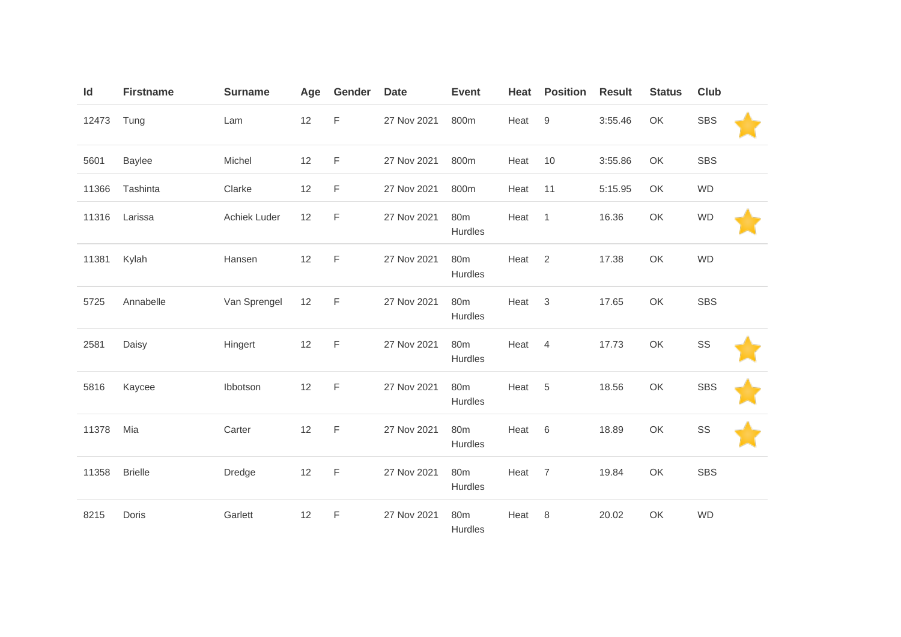| ld    | <b>Firstname</b> | <b>Surname</b> | Age | Gender      | <b>Date</b> | <b>Event</b>               | Heat              | <b>Position</b> | <b>Result</b> | <b>Status</b> | <b>Club</b> |  |
|-------|------------------|----------------|-----|-------------|-------------|----------------------------|-------------------|-----------------|---------------|---------------|-------------|--|
| 12473 | Tung             | Lam            | 12  | $\mathsf F$ | 27 Nov 2021 | 800m                       | Heat              | 9               | 3:55.46       | OK            | <b>SBS</b>  |  |
| 5601  | <b>Baylee</b>    | Michel         | 12  | F           | 27 Nov 2021 | 800m                       | Heat              | 10              | 3:55.86       | OK            | <b>SBS</b>  |  |
| 11366 | Tashinta         | Clarke         | 12  | F           | 27 Nov 2021 | 800m                       | Heat              | 11              | 5:15.95       | OK            | <b>WD</b>   |  |
| 11316 | Larissa          | Achiek Luder   | 12  | $\mathsf F$ | 27 Nov 2021 | 80 <sub>m</sub><br>Hurdles | Heat              | $\overline{1}$  | 16.36         | OK            | <b>WD</b>   |  |
| 11381 | Kylah            | Hansen         | 12  | F           | 27 Nov 2021 | 80 <sub>m</sub><br>Hurdles | Heat <sub>2</sub> |                 | 17.38         | OK            | <b>WD</b>   |  |
| 5725  | Annabelle        | Van Sprengel   | 12  | F           | 27 Nov 2021 | 80 <sub>m</sub><br>Hurdles | Heat              | $\mathbf{3}$    | 17.65         | OK            | <b>SBS</b>  |  |
| 2581  | Daisy            | Hingert        | 12  | F           | 27 Nov 2021 | 80 <sub>m</sub><br>Hurdles | Heat              | $\overline{4}$  | 17.73         | OK            | SS          |  |
| 5816  | Kaycee           | Ibbotson       | 12  | F           | 27 Nov 2021 | 80 <sub>m</sub><br>Hurdles | Heat              | 5               | 18.56         | OK            | <b>SBS</b>  |  |
| 11378 | Mia              | Carter         | 12  | F           | 27 Nov 2021 | 80 <sub>m</sub><br>Hurdles | Heat              | $6\,$           | 18.89         | OK            | SS          |  |
| 11358 | <b>Brielle</b>   | Dredge         | 12  | $\mathsf F$ | 27 Nov 2021 | 80 <sub>m</sub><br>Hurdles | Heat              | $\overline{7}$  | 19.84         | OK            | <b>SBS</b>  |  |
| 8215  | Doris            | Garlett        | 12  | $\mathsf F$ | 27 Nov 2021 | 80 <sub>m</sub><br>Hurdles | Heat              | 8               | 20.02         | OK            | <b>WD</b>   |  |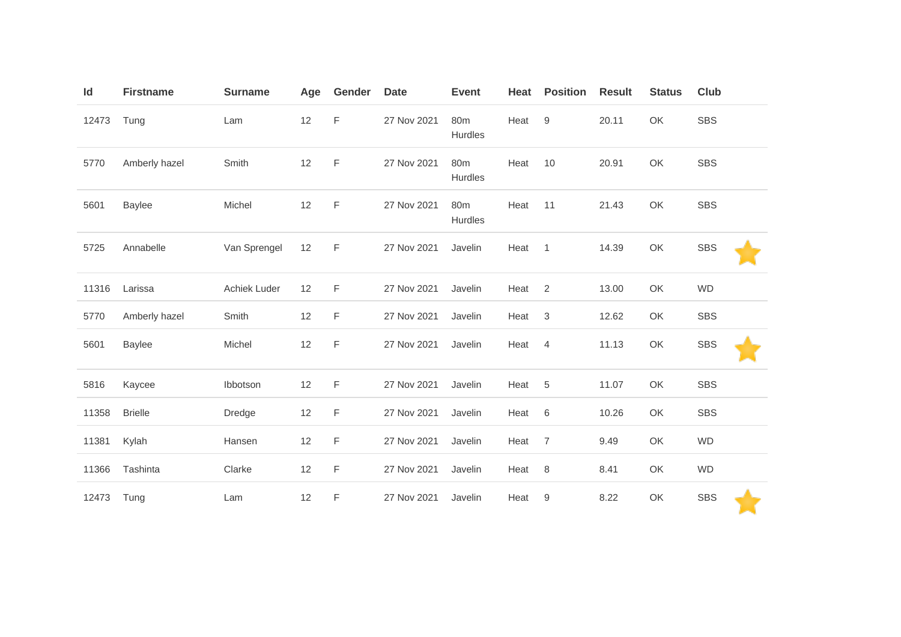| $\mathsf{Id}$ | <b>Firstname</b> | <b>Surname</b> | Age | Gender      | <b>Date</b> | <b>Event</b>               | Heat | <b>Position</b>  | <b>Result</b> | <b>Status</b> | <b>Club</b> |
|---------------|------------------|----------------|-----|-------------|-------------|----------------------------|------|------------------|---------------|---------------|-------------|
| 12473         | Tung             | Lam            | 12  | $\mathsf F$ | 27 Nov 2021 | 80m<br>Hurdles             | Heat | $\boldsymbol{9}$ | 20.11         | OK            | <b>SBS</b>  |
| 5770          | Amberly hazel    | Smith          | 12  | F           | 27 Nov 2021 | 80 <sub>m</sub><br>Hurdles | Heat | 10               | 20.91         | OK            | <b>SBS</b>  |
| 5601          | <b>Baylee</b>    | Michel         | 12  | F           | 27 Nov 2021 | 80 <sub>m</sub><br>Hurdles | Heat | 11               | 21.43         | OK            | <b>SBS</b>  |
| 5725          | Annabelle        | Van Sprengel   | 12  | F           | 27 Nov 2021 | Javelin                    | Heat | $\overline{1}$   | 14.39         | OK            | <b>SBS</b>  |
| 11316         | Larissa          | Achiek Luder   | 12  | $\mathsf F$ | 27 Nov 2021 | Javelin                    | Heat | 2                | 13.00         | OK            | <b>WD</b>   |
| 5770          | Amberly hazel    | Smith          | 12  | F           | 27 Nov 2021 | Javelin                    | Heat | 3                | 12.62         | OK            | <b>SBS</b>  |
| 5601          | <b>Baylee</b>    | Michel         | 12  | F           | 27 Nov 2021 | Javelin                    | Heat | 4                | 11.13         | OK            | <b>SBS</b>  |
| 5816          | Kaycee           | Ibbotson       | 12  | $\mathsf F$ | 27 Nov 2021 | Javelin                    | Heat | 5                | 11.07         | OK            | <b>SBS</b>  |
| 11358         | <b>Brielle</b>   | Dredge         | 12  | F           | 27 Nov 2021 | Javelin                    | Heat | 6                | 10.26         | OK            | <b>SBS</b>  |
| 11381         | Kylah            | Hansen         | 12  | F           | 27 Nov 2021 | Javelin                    | Heat | $\overline{7}$   | 9.49          | OK            | <b>WD</b>   |
| 11366         | Tashinta         | Clarke         | 12  | F           | 27 Nov 2021 | Javelin                    | Heat | 8                | 8.41          | OK            | <b>WD</b>   |
| 12473         | Tung             | Lam            | 12  | F           | 27 Nov 2021 | Javelin                    | Heat | $\boldsymbol{9}$ | 8.22          | OK            | <b>SBS</b>  |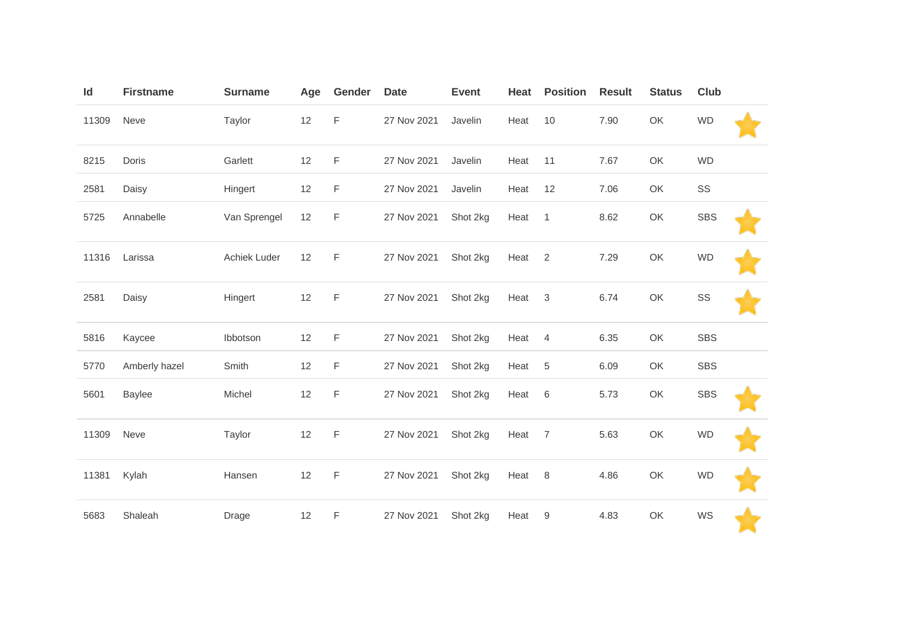| ld    | <b>Firstname</b> | <b>Surname</b> | Age | Gender | <b>Date</b> | <b>Event</b> | Heat | <b>Position</b> | <b>Result</b> | <b>Status</b> | Club       |  |
|-------|------------------|----------------|-----|--------|-------------|--------------|------|-----------------|---------------|---------------|------------|--|
| 11309 | Neve             | Taylor         | 12  | F      | 27 Nov 2021 | Javelin      | Heat | 10              | 7.90          | OK            | <b>WD</b>  |  |
| 8215  | Doris            | Garlett        | 12  | F      | 27 Nov 2021 | Javelin      | Heat | 11              | 7.67          | OK            | <b>WD</b>  |  |
| 2581  | Daisy            | Hingert        | 12  | F      | 27 Nov 2021 | Javelin      | Heat | 12              | 7.06          | OK            | SS         |  |
| 5725  | Annabelle        | Van Sprengel   | 12  | F      | 27 Nov 2021 | Shot 2kg     | Heat | $\overline{1}$  | 8.62          | OK            | <b>SBS</b> |  |
| 11316 | Larissa          | Achiek Luder   | 12  | F      | 27 Nov 2021 | Shot 2kg     | Heat | $\overline{2}$  | 7.29          | OK            | <b>WD</b>  |  |
| 2581  | Daisy            | Hingert        | 12  | F      | 27 Nov 2021 | Shot 2kg     | Heat | $\mathbf{3}$    | 6.74          | OK            | SS         |  |
| 5816  | Kaycee           | Ibbotson       | 12  | F      | 27 Nov 2021 | Shot 2kg     | Heat | 4               | 6.35          | OK            | <b>SBS</b> |  |
| 5770  | Amberly hazel    | Smith          | 12  | F      | 27 Nov 2021 | Shot 2kg     | Heat | 5               | 6.09          | OK            | <b>SBS</b> |  |
| 5601  | <b>Baylee</b>    | Michel         | 12  | F      | 27 Nov 2021 | Shot 2kg     | Heat | 6               | 5.73          | OK            | <b>SBS</b> |  |
| 11309 | Neve             | Taylor         | 12  | F      | 27 Nov 2021 | Shot 2kg     | Heat | $\overline{7}$  | 5.63          | OK            | <b>WD</b>  |  |
| 11381 | Kylah            | Hansen         | 12  | F      | 27 Nov 2021 | Shot 2kg     | Heat | 8               | 4.86          | OK            | <b>WD</b>  |  |
| 5683  | Shaleah          | Drage          | 12  | F      | 27 Nov 2021 | Shot 2kg     | Heat | 9               | 4.83          | OK            | WS         |  |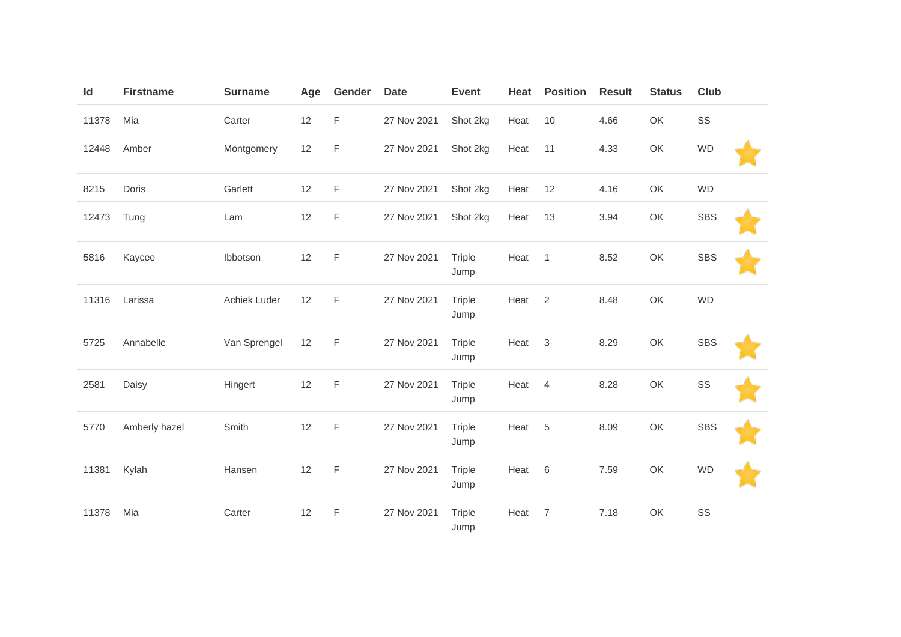| Id    | <b>Firstname</b> | <b>Surname</b> | Age | Gender      | <b>Date</b> | <b>Event</b>          | Heat | <b>Position</b> | <b>Result</b> | <b>Status</b> | Club       |  |
|-------|------------------|----------------|-----|-------------|-------------|-----------------------|------|-----------------|---------------|---------------|------------|--|
| 11378 | Mia              | Carter         | 12  | F           | 27 Nov 2021 | Shot 2kg              | Heat | 10              | 4.66          | OK            | SS         |  |
| 12448 | Amber            | Montgomery     | 12  | F           | 27 Nov 2021 | Shot 2kg              | Heat | 11              | 4.33          | OK            | <b>WD</b>  |  |
| 8215  | Doris            | Garlett        | 12  | F           | 27 Nov 2021 | Shot 2kg              | Heat | 12              | 4.16          | OK            | <b>WD</b>  |  |
| 12473 | Tung             | Lam            | 12  | F           | 27 Nov 2021 | Shot 2kg              | Heat | 13              | 3.94          | OK            | <b>SBS</b> |  |
| 5816  | Kaycee           | Ibbotson       | 12  | $\mathsf F$ | 27 Nov 2021 | <b>Triple</b><br>Jump | Heat | $\overline{1}$  | 8.52          | OK            | <b>SBS</b> |  |
| 11316 | Larissa          | Achiek Luder   | 12  | $\mathsf F$ | 27 Nov 2021 | <b>Triple</b><br>Jump | Heat | 2               | 8.48          | OK            | <b>WD</b>  |  |
| 5725  | Annabelle        | Van Sprengel   | 12  | F           | 27 Nov 2021 | <b>Triple</b><br>Jump | Heat | $\mathbf{3}$    | 8.29          | OK            | <b>SBS</b> |  |
| 2581  | Daisy            | Hingert        | 12  | $\mathsf F$ | 27 Nov 2021 | <b>Triple</b><br>Jump | Heat | 4               | 8.28          | OK            | SS         |  |
| 5770  | Amberly hazel    | Smith          | 12  | F           | 27 Nov 2021 | Triple<br>Jump        | Heat | 5               | 8.09          | OK            | <b>SBS</b> |  |
| 11381 | Kylah            | Hansen         | 12  | F           | 27 Nov 2021 | Triple<br>Jump        | Heat | 6               | 7.59          | OK            | <b>WD</b>  |  |
| 11378 | Mia              | Carter         | 12  | F           | 27 Nov 2021 | Triple<br>Jump        | Heat | $\overline{7}$  | 7.18          | OK            | SS         |  |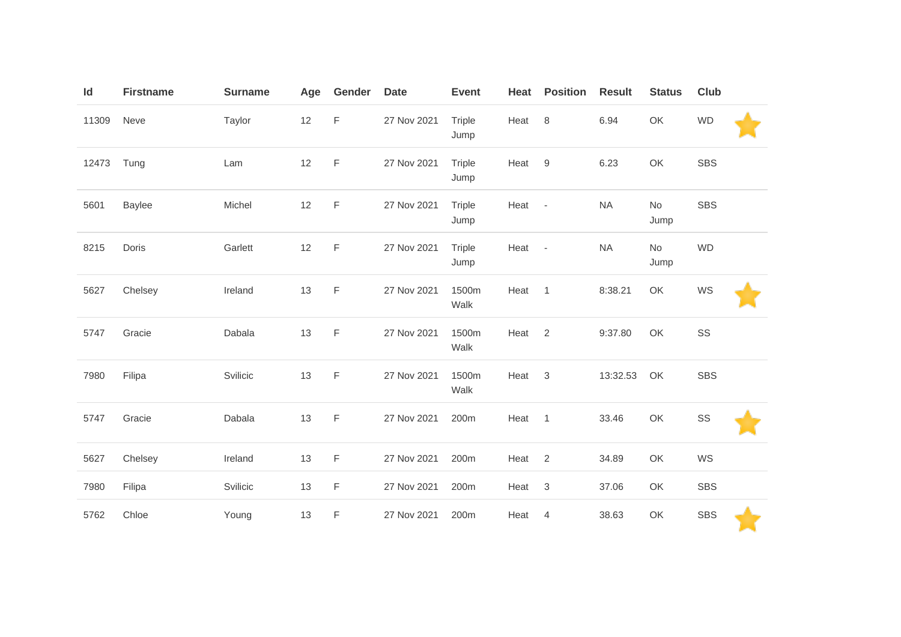| Id    | <b>Firstname</b> | <b>Surname</b> | Age | Gender      | <b>Date</b> | <b>Event</b>   | Heat | <b>Position</b>          | <b>Result</b> | <b>Status</b> | <b>Club</b> |
|-------|------------------|----------------|-----|-------------|-------------|----------------|------|--------------------------|---------------|---------------|-------------|
| 11309 | Neve             | Taylor         | 12  | F           | 27 Nov 2021 | Triple<br>Jump | Heat | 8                        | 6.94          | OK            | <b>WD</b>   |
| 12473 | Tung             | Lam            | 12  | F           | 27 Nov 2021 | Triple<br>Jump | Heat | 9                        | 6.23          | OK            | <b>SBS</b>  |
| 5601  | <b>Baylee</b>    | Michel         | 12  | $\mathsf F$ | 27 Nov 2021 | Triple<br>Jump | Heat | $\overline{\phantom{a}}$ | <b>NA</b>     | No<br>Jump    | <b>SBS</b>  |
| 8215  | Doris            | Garlett        | 12  | $\mathsf F$ | 27 Nov 2021 | Triple<br>Jump | Heat | $\sim$                   | <b>NA</b>     | No<br>Jump    | <b>WD</b>   |
| 5627  | Chelsey          | Ireland        | 13  | $\mathsf F$ | 27 Nov 2021 | 1500m<br>Walk  | Heat | $\overline{1}$           | 8:38.21       | OK            | WS          |
| 5747  | Gracie           | Dabala         | 13  | $\mathsf F$ | 27 Nov 2021 | 1500m<br>Walk  | Heat | $\overline{2}$           | 9:37.80       | OK            | SS          |
| 7980  | Filipa           | Svilicic       | 13  | F           | 27 Nov 2021 | 1500m<br>Walk  | Heat | 3                        | 13:32.53      | OK            | <b>SBS</b>  |
| 5747  | Gracie           | Dabala         | 13  | $\mathsf F$ | 27 Nov 2021 | 200m           | Heat | $\overline{1}$           | 33.46         | OK            | SS          |
| 5627  | Chelsey          | Ireland        | 13  | F           | 27 Nov 2021 | 200m           | Heat | 2                        | 34.89         | OK            | WS          |
| 7980  | Filipa           | Svilicic       | 13  | F           | 27 Nov 2021 | 200m           | Heat | $\mathsf 3$              | 37.06         | OK            | <b>SBS</b>  |
| 5762  | Chloe            | Young          | 13  | F           | 27 Nov 2021 | 200m           | Heat | $\overline{4}$           | 38.63         | OK            | <b>SBS</b>  |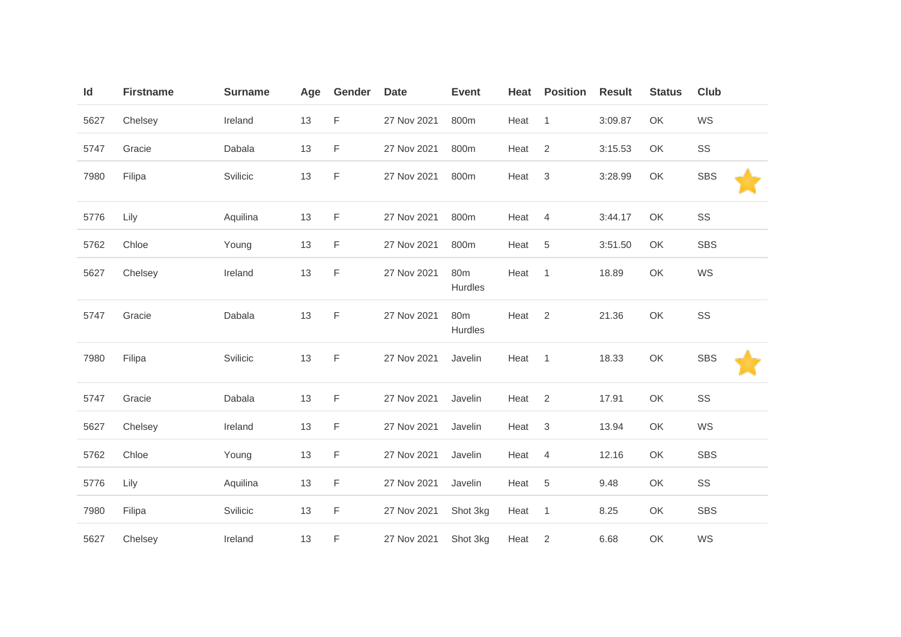| Id   | <b>Firstname</b> | <b>Surname</b> | Age | Gender | <b>Date</b> | <b>Event</b>               | Heat | <b>Position</b> | <b>Result</b> | <b>Status</b> | Club       |
|------|------------------|----------------|-----|--------|-------------|----------------------------|------|-----------------|---------------|---------------|------------|
| 5627 | Chelsey          | Ireland        | 13  | F      | 27 Nov 2021 | 800m                       | Heat | $\overline{1}$  | 3:09.87       | OK            | WS         |
| 5747 | Gracie           | Dabala         | 13  | F      | 27 Nov 2021 | 800m                       | Heat | 2               | 3:15.53       | OK            | SS         |
| 7980 | Filipa           | Svilicic       | 13  | F      | 27 Nov 2021 | 800m                       | Heat | $\mathbf{3}$    | 3:28.99       | OK            | <b>SBS</b> |
| 5776 | Lily             | Aquilina       | 13  | F      | 27 Nov 2021 | 800m                       | Heat | $\overline{4}$  | 3:44.17       | OK            | SS         |
| 5762 | Chloe            | Young          | 13  | F      | 27 Nov 2021 | 800m                       | Heat | $5\phantom{.0}$ | 3:51.50       | OK            | <b>SBS</b> |
| 5627 | Chelsey          | Ireland        | 13  | F      | 27 Nov 2021 | 80m<br>Hurdles             | Heat | $\overline{1}$  | 18.89         | OK            | WS         |
| 5747 | Gracie           | Dabala         | 13  | F      | 27 Nov 2021 | 80 <sub>m</sub><br>Hurdles | Heat | 2               | 21.36         | OK            | SS         |
| 7980 | Filipa           | Svilicic       | 13  | F      | 27 Nov 2021 | Javelin                    | Heat | $\overline{1}$  | 18.33         | OK            | <b>SBS</b> |
| 5747 | Gracie           | Dabala         | 13  | F      | 27 Nov 2021 | Javelin                    | Heat | $\overline{2}$  | 17.91         | OK            | SS         |
| 5627 | Chelsey          | Ireland        | 13  | F      | 27 Nov 2021 | Javelin                    | Heat | 3               | 13.94         | OK            | WS         |
| 5762 | Chloe            | Young          | 13  | F      | 27 Nov 2021 | Javelin                    | Heat | $\overline{4}$  | 12.16         | OK            | <b>SBS</b> |
| 5776 | Lily             | Aquilina       | 13  | F      | 27 Nov 2021 | Javelin                    | Heat | $\overline{5}$  | 9.48          | OK            | SS         |
| 7980 | Filipa           | Svilicic       | 13  | F      | 27 Nov 2021 | Shot 3kg                   | Heat | $\overline{1}$  | 8.25          | OK            | <b>SBS</b> |
| 5627 | Chelsey          | Ireland        | 13  | F      | 27 Nov 2021 | Shot 3kg                   | Heat | 2               | 6.68          | OK            | WS         |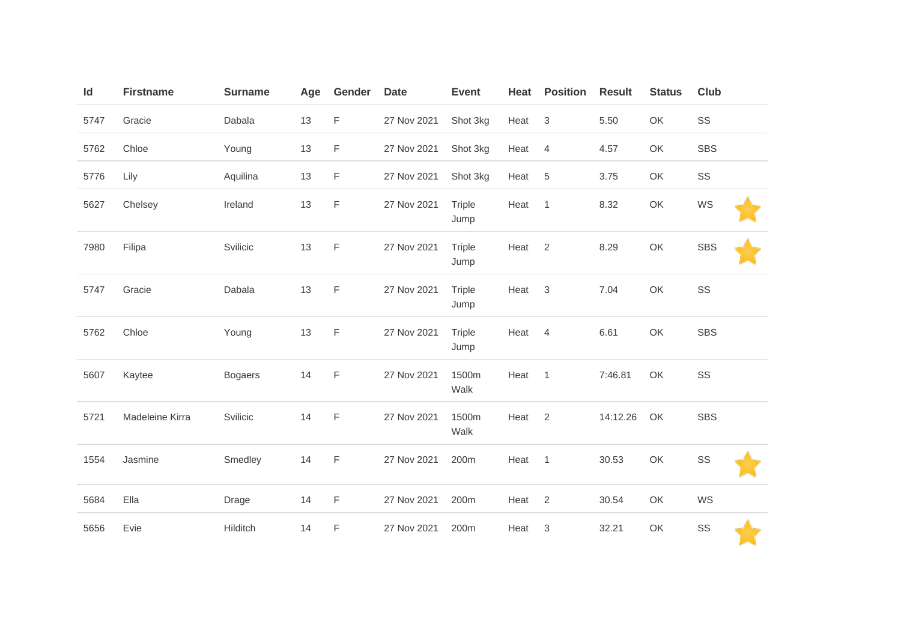| Id   | <b>Firstname</b> | <b>Surname</b> | Age | Gender      | <b>Date</b> | <b>Event</b>          | Heat | <b>Position</b>           | <b>Result</b> | <b>Status</b> | Club       |  |
|------|------------------|----------------|-----|-------------|-------------|-----------------------|------|---------------------------|---------------|---------------|------------|--|
| 5747 | Gracie           | Dabala         | 13  | F           | 27 Nov 2021 | Shot 3kg              | Heat | $\mathsf 3$               | 5.50          | OK            | SS         |  |
| 5762 | Chloe            | Young          | 13  | F           | 27 Nov 2021 | Shot 3kg              | Heat | 4                         | 4.57          | OK            | <b>SBS</b> |  |
| 5776 | Lily             | Aquilina       | 13  | F           | 27 Nov 2021 | Shot 3kg              | Heat | 5                         | 3.75          | OK            | SS         |  |
| 5627 | Chelsey          | Ireland        | 13  | F           | 27 Nov 2021 | <b>Triple</b><br>Jump | Heat | $\overline{1}$            | 8.32          | OK            | WS         |  |
| 7980 | Filipa           | Svilicic       | 13  | F           | 27 Nov 2021 | <b>Triple</b><br>Jump | Heat | $\sqrt{2}$                | 8.29          | OK            | <b>SBS</b> |  |
| 5747 | Gracie           | Dabala         | 13  | F           | 27 Nov 2021 | <b>Triple</b><br>Jump | Heat | $\mathbf{3}$              | 7.04          | OK            | SS         |  |
| 5762 | Chloe            | Young          | 13  | F           | 27 Nov 2021 | Triple<br>Jump        | Heat | 4                         | 6.61          | OK            | <b>SBS</b> |  |
| 5607 | Kaytee           | <b>Bogaers</b> | 14  | F           | 27 Nov 2021 | 1500m<br>Walk         | Heat | $\overline{1}$            | 7:46.81       | OK            | SS         |  |
| 5721 | Madeleine Kirra  | Svilicic       | 14  | $\mathsf F$ | 27 Nov 2021 | 1500m<br>Walk         | Heat | $\sqrt{2}$                | 14:12.26      | OK            | <b>SBS</b> |  |
| 1554 | Jasmine          | Smedley        | 14  | F           | 27 Nov 2021 | 200m                  | Heat | $\overline{1}$            | 30.53         | OK            | SS         |  |
| 5684 | Ella             | Drage          | 14  | F           | 27 Nov 2021 | 200m                  | Heat | $\overline{2}$            | 30.54         | OK            | WS         |  |
| 5656 | Evie             | Hilditch       | 14  | F           | 27 Nov 2021 | 200m                  | Heat | $\ensuremath{\mathsf{3}}$ | 32.21         | OK            | SS         |  |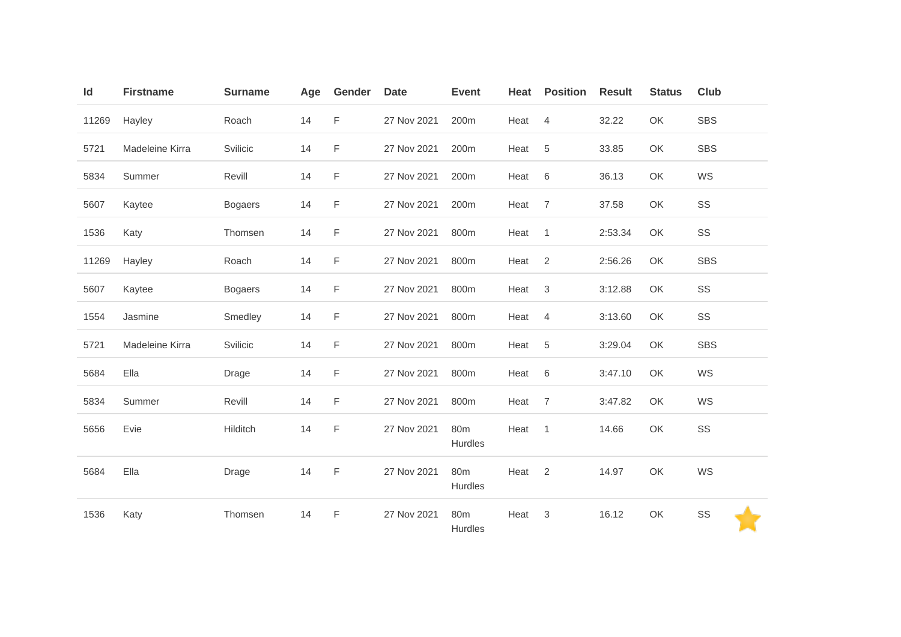| Id    | <b>Firstname</b> | <b>Surname</b> | Age | Gender | <b>Date</b> | <b>Event</b>               | Heat | <b>Position</b> | <b>Result</b> | <b>Status</b> | Club       |
|-------|------------------|----------------|-----|--------|-------------|----------------------------|------|-----------------|---------------|---------------|------------|
| 11269 | Hayley           | Roach          | 14  | F      | 27 Nov 2021 | 200m                       | Heat | $\overline{4}$  | 32.22         | OK            | <b>SBS</b> |
| 5721  | Madeleine Kirra  | Svilicic       | 14  | F      | 27 Nov 2021 | 200m                       | Heat | 5               | 33.85         | OK            | <b>SBS</b> |
| 5834  | Summer           | Revill         | 14  | F      | 27 Nov 2021 | 200m                       | Heat | 6               | 36.13         | OK            | WS         |
| 5607  | Kaytee           | <b>Bogaers</b> | 14  | F      | 27 Nov 2021 | 200m                       | Heat | $\overline{7}$  | 37.58         | OK            | SS         |
| 1536  | Katy             | Thomsen        | 14  | F      | 27 Nov 2021 | 800m                       | Heat | $\overline{1}$  | 2:53.34       | OK            | SS         |
| 11269 | Hayley           | Roach          | 14  | F      | 27 Nov 2021 | 800m                       | Heat | 2               | 2:56.26       | OK            | <b>SBS</b> |
| 5607  | Kaytee           | <b>Bogaers</b> | 14  | F      | 27 Nov 2021 | 800m                       | Heat | 3               | 3:12.88       | OK            | SS         |
| 1554  | Jasmine          | Smedley        | 14  | F      | 27 Nov 2021 | 800m                       | Heat | $\overline{4}$  | 3:13.60       | OK            | SS         |
| 5721  | Madeleine Kirra  | Svilicic       | 14  | F      | 27 Nov 2021 | 800m                       | Heat | 5               | 3:29.04       | OK            | <b>SBS</b> |
| 5684  | Ella             | <b>Drage</b>   | 14  | F      | 27 Nov 2021 | 800m                       | Heat | 6               | 3:47.10       | OK            | WS         |
| 5834  | Summer           | Revill         | 14  | F      | 27 Nov 2021 | 800m                       | Heat | $\overline{7}$  | 3:47.82       | OK            | WS         |
| 5656  | Evie             | Hilditch       | 14  | F      | 27 Nov 2021 | 80 <sub>m</sub><br>Hurdles | Heat | $\overline{1}$  | 14.66         | OK            | SS         |
| 5684  | Ella             | Drage          | 14  | F      | 27 Nov 2021 | 80 <sub>m</sub><br>Hurdles | Heat | 2               | 14.97         | OK            | WS         |
| 1536  | Katy             | Thomsen        | 14  | F      | 27 Nov 2021 | 80 <sub>m</sub><br>Hurdles | Heat | 3               | 16.12         | OK            | SS         |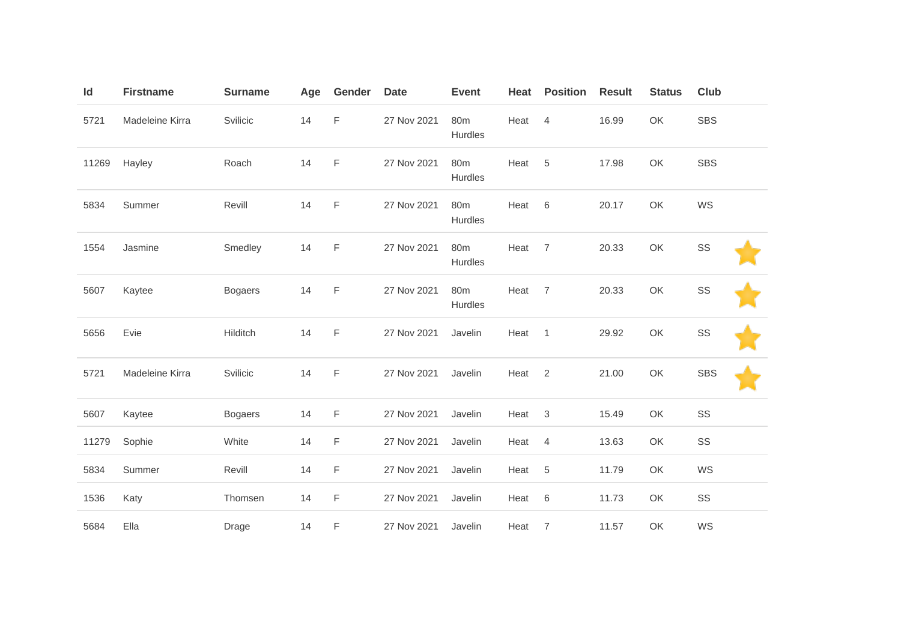| Id    | <b>Firstname</b> | <b>Surname</b> | Age | Gender      | <b>Date</b> | <b>Event</b>   | Heat | <b>Position</b> | <b>Result</b> | <b>Status</b> | <b>Club</b> |
|-------|------------------|----------------|-----|-------------|-------------|----------------|------|-----------------|---------------|---------------|-------------|
| 5721  | Madeleine Kirra  | Svilicic       | 14  | $\mathsf F$ | 27 Nov 2021 | 80m<br>Hurdles | Heat | $\overline{4}$  | 16.99         | OK            | <b>SBS</b>  |
| 11269 | Hayley           | Roach          | 14  | $\mathsf F$ | 27 Nov 2021 | 80m<br>Hurdles | Heat | 5               | 17.98         | OK            | <b>SBS</b>  |
| 5834  | Summer           | Revill         | 14  | F           | 27 Nov 2021 | 80m<br>Hurdles | Heat | 6               | 20.17         | OK            | WS          |
| 1554  | Jasmine          | Smedley        | 14  | $\mathsf F$ | 27 Nov 2021 | 80m<br>Hurdles | Heat | $\overline{7}$  | 20.33         | OK            | SS          |
| 5607  | Kaytee           | <b>Bogaers</b> | 14  | $\mathsf F$ | 27 Nov 2021 | 80m<br>Hurdles | Heat | $\overline{7}$  | 20.33         | OK            | SS          |
| 5656  | Evie             | Hilditch       | 14  | $\mathsf F$ | 27 Nov 2021 | Javelin        | Heat | $\mathbf{1}$    | 29.92         | OK            | SS          |
| 5721  | Madeleine Kirra  | Svilicic       | 14  | $\mathsf F$ | 27 Nov 2021 | Javelin        | Heat | 2               | 21.00         | OK            | <b>SBS</b>  |
| 5607  | Kaytee           | <b>Bogaers</b> | 14  | F           | 27 Nov 2021 | Javelin        | Heat | 3               | 15.49         | OK            | SS          |
| 11279 | Sophie           | White          | 14  | $\mathsf F$ | 27 Nov 2021 | Javelin        | Heat | 4               | 13.63         | OK            | SS          |
| 5834  | Summer           | Revill         | 14  | F           | 27 Nov 2021 | Javelin        | Heat | 5               | 11.79         | OK            | WS          |
| 1536  | Katy             | Thomsen        | 14  | $\mathsf F$ | 27 Nov 2021 | Javelin        | Heat | $\,6\,$         | 11.73         | OK            | SS          |
| 5684  | Ella             | Drage          | 14  | F           | 27 Nov 2021 | Javelin        | Heat | $\overline{7}$  | 11.57         | OK            | WS          |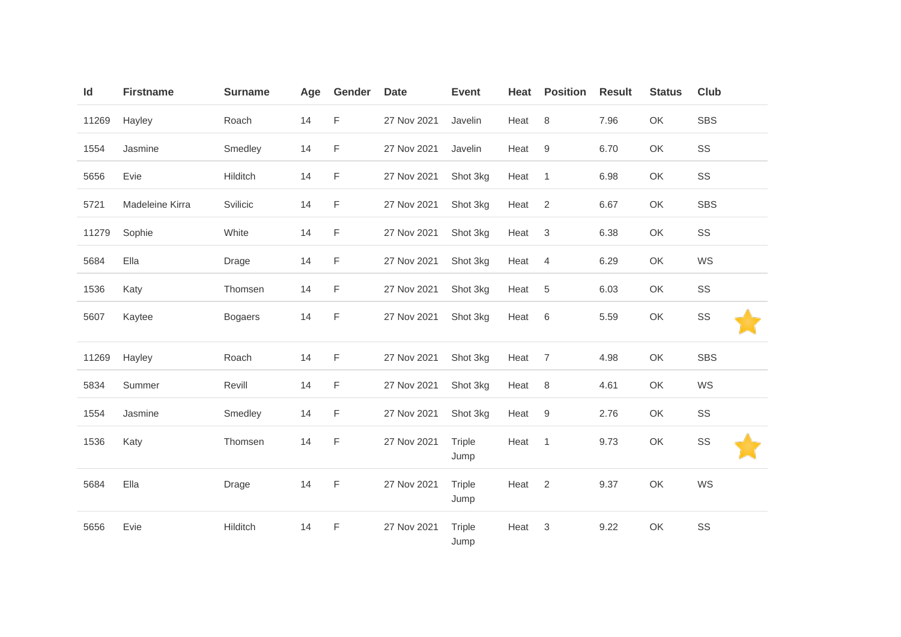| Id    | <b>Firstname</b> | <b>Surname</b> | Age | Gender      | <b>Date</b> | <b>Event</b>   | Heat | <b>Position</b> | <b>Result</b> | <b>Status</b> | Club       |
|-------|------------------|----------------|-----|-------------|-------------|----------------|------|-----------------|---------------|---------------|------------|
| 11269 | Hayley           | Roach          | 14  | $\mathsf F$ | 27 Nov 2021 | Javelin        | Heat | $\,8\,$         | 7.96          | OK            | <b>SBS</b> |
| 1554  | Jasmine          | Smedley        | 14  | $\mathsf F$ | 27 Nov 2021 | Javelin        | Heat | $9\,$           | 6.70          | OK            | SS         |
| 5656  | Evie             | Hilditch       | 14  | F           | 27 Nov 2021 | Shot 3kg       | Heat | $\overline{1}$  | 6.98          | OK            | SS         |
| 5721  | Madeleine Kirra  | Svilicic       | 14  | F           | 27 Nov 2021 | Shot 3kg       | Heat | 2               | 6.67          | OK            | <b>SBS</b> |
| 11279 | Sophie           | White          | 14  | F           | 27 Nov 2021 | Shot 3kg       | Heat | $\mathbf{3}$    | 6.38          | OK            | SS         |
| 5684  | Ella             | Drage          | 14  | F           | 27 Nov 2021 | Shot 3kg       | Heat | $\overline{4}$  | 6.29          | OK            | WS         |
| 1536  | Katy             | Thomsen        | 14  | F           | 27 Nov 2021 | Shot 3kg       | Heat | 5               | 6.03          | OK            | SS         |
| 5607  | Kaytee           | <b>Bogaers</b> | 14  | $\mathsf F$ | 27 Nov 2021 | Shot 3kg       | Heat | 6               | 5.59          | OK            | SS         |
| 11269 | Hayley           | Roach          | 14  | F           | 27 Nov 2021 | Shot 3kg       | Heat | $\overline{7}$  | 4.98          | OK            | <b>SBS</b> |
| 5834  | Summer           | Revill         | 14  | F           | 27 Nov 2021 | Shot 3kg       | Heat | 8               | 4.61          | OK            | WS         |
| 1554  | Jasmine          | Smedley        | 14  | F           | 27 Nov 2021 | Shot 3kg       | Heat | 9               | 2.76          | OK            | SS         |
| 1536  | Katy             | Thomsen        | 14  | $\mathsf F$ | 27 Nov 2021 | Triple<br>Jump | Heat | $\overline{1}$  | 9.73          | OK            | SS         |
| 5684  | Ella             | Drage          | 14  | F           | 27 Nov 2021 | Triple<br>Jump | Heat | 2               | 9.37          | OK            | WS         |
| 5656  | Evie             | Hilditch       | 14  | F           | 27 Nov 2021 | Triple<br>Jump | Heat | 3               | 9.22          | OK            | SS         |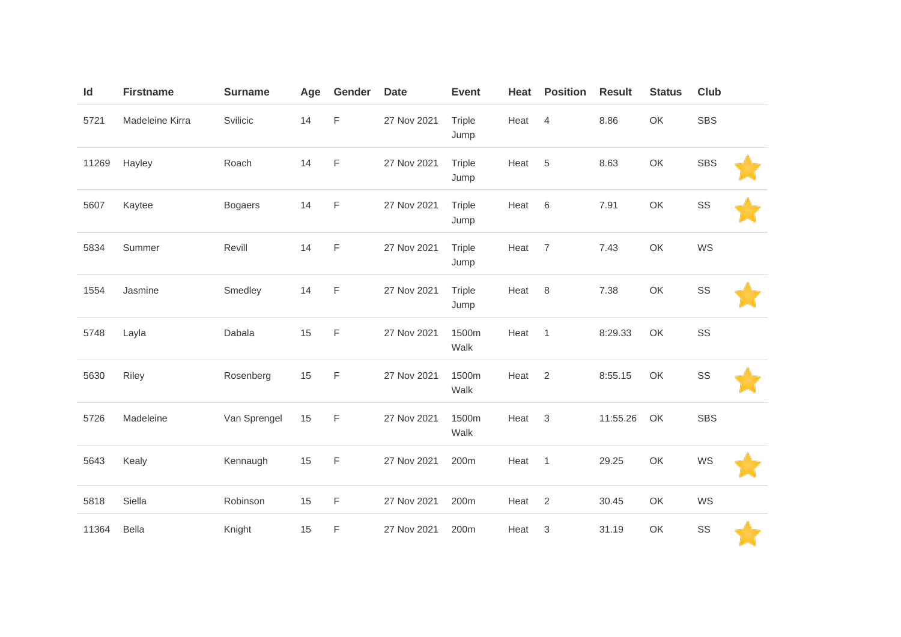| Id    | <b>Firstname</b> | <b>Surname</b> | Age | Gender      | <b>Date</b> | <b>Event</b>          | Heat | <b>Position</b>           | <b>Result</b> | <b>Status</b> | <b>Club</b> |  |
|-------|------------------|----------------|-----|-------------|-------------|-----------------------|------|---------------------------|---------------|---------------|-------------|--|
| 5721  | Madeleine Kirra  | Svilicic       | 14  | $\mathsf F$ | 27 Nov 2021 | Triple<br>Jump        | Heat | $\overline{4}$            | 8.86          | OK            | <b>SBS</b>  |  |
| 11269 | Hayley           | Roach          | 14  | $\mathsf F$ | 27 Nov 2021 | Triple<br>Jump        | Heat | 5                         | 8.63          | OK            | <b>SBS</b>  |  |
| 5607  | Kaytee           | <b>Bogaers</b> | 14  | $\mathsf F$ | 27 Nov 2021 | Triple<br>Jump        | Heat | 6                         | 7.91          | OK            | SS          |  |
| 5834  | Summer           | Revill         | 14  | $\mathsf F$ | 27 Nov 2021 | Triple<br>Jump        | Heat | $\overline{7}$            | 7.43          | OK            | WS          |  |
| 1554  | Jasmine          | Smedley        | 14  | $\mathsf F$ | 27 Nov 2021 | <b>Triple</b><br>Jump | Heat | 8                         | 7.38          | OK            | SS          |  |
| 5748  | Layla            | Dabala         | 15  | $\mathsf F$ | 27 Nov 2021 | 1500m<br>Walk         | Heat | $\mathbf{1}$              | 8:29.33       | OK            | SS          |  |
| 5630  | Riley            | Rosenberg      | 15  | $\mathsf F$ | 27 Nov 2021 | 1500m<br>Walk         | Heat | 2                         | 8:55.15       | OK            | SS          |  |
| 5726  | Madeleine        | Van Sprengel   | 15  | $\mathsf F$ | 27 Nov 2021 | 1500m<br>Walk         | Heat | $\ensuremath{\mathsf{3}}$ | 11:55.26      | OK            | SBS         |  |
| 5643  | Kealy            | Kennaugh       | 15  | F           | 27 Nov 2021 | 200m                  | Heat | $\overline{1}$            | 29.25         | OK            | WS          |  |
| 5818  | Siella           | Robinson       | 15  | F           | 27 Nov 2021 | 200m                  | Heat | $\sqrt{2}$                | 30.45         | OK            | WS          |  |
| 11364 | Bella            | Knight         | 15  | F           | 27 Nov 2021 | 200m                  | Heat | $\ensuremath{\mathsf{3}}$ | 31.19         | OK            | SS          |  |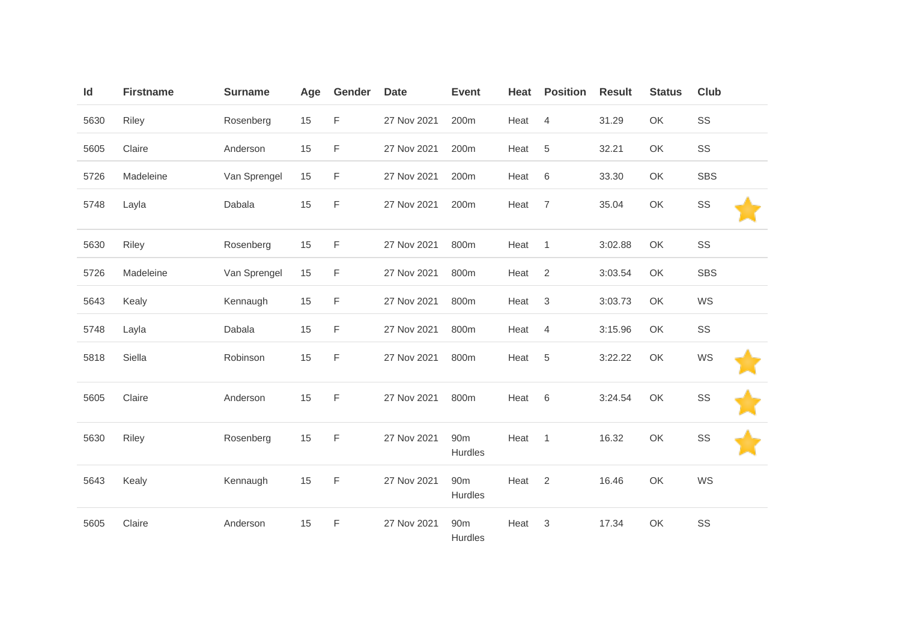| Id   | <b>Firstname</b> | <b>Surname</b> | Age | Gender | <b>Date</b> | <b>Event</b>               | Heat | <b>Position</b> | <b>Result</b> | <b>Status</b> | Club       |
|------|------------------|----------------|-----|--------|-------------|----------------------------|------|-----------------|---------------|---------------|------------|
| 5630 | Riley            | Rosenberg      | 15  | F      | 27 Nov 2021 | 200m                       | Heat | $\overline{4}$  | 31.29         | OK            | SS         |
| 5605 | Claire           | Anderson       | 15  | F      | 27 Nov 2021 | 200m                       | Heat | $\,$ 5 $\,$     | 32.21         | OK            | SS         |
| 5726 | Madeleine        | Van Sprengel   | 15  | F      | 27 Nov 2021 | 200m                       | Heat | 6               | 33.30         | OK            | <b>SBS</b> |
| 5748 | Layla            | Dabala         | 15  | F      | 27 Nov 2021 | 200m                       | Heat | $\overline{7}$  | 35.04         | OK            | SS         |
| 5630 | Riley            | Rosenberg      | 15  | F      | 27 Nov 2021 | 800m                       | Heat | $\overline{1}$  | 3:02.88       | OK            | SS         |
| 5726 | Madeleine        | Van Sprengel   | 15  | F      | 27 Nov 2021 | 800m                       | Heat | $\overline{2}$  | 3:03.54       | OK            | <b>SBS</b> |
| 5643 | Kealy            | Kennaugh       | 15  | F      | 27 Nov 2021 | 800m                       | Heat | $\sqrt{3}$      | 3:03.73       | OK            | WS         |
| 5748 | Layla            | Dabala         | 15  | F      | 27 Nov 2021 | 800m                       | Heat | $\overline{4}$  | 3:15.96       | OK            | SS         |
| 5818 | Siella           | Robinson       | 15  | F      | 27 Nov 2021 | 800m                       | Heat | $\sqrt{5}$      | 3:22.22       | OK            | WS         |
| 5605 | Claire           | Anderson       | 15  | F      | 27 Nov 2021 | 800m                       | Heat | 6               | 3:24.54       | OK            | SS         |
| 5630 | Riley            | Rosenberg      | 15  | F      | 27 Nov 2021 | 90 <sub>m</sub><br>Hurdles | Heat | $\mathbf{1}$    | 16.32         | OK            | SS         |
| 5643 | Kealy            | Kennaugh       | 15  | F      | 27 Nov 2021 | 90 <sub>m</sub><br>Hurdles | Heat | 2               | 16.46         | OK            | WS         |
| 5605 | Claire           | Anderson       | 15  | F      | 27 Nov 2021 | 90 <sub>m</sub><br>Hurdles | Heat | 3               | 17.34         | OK            | SS         |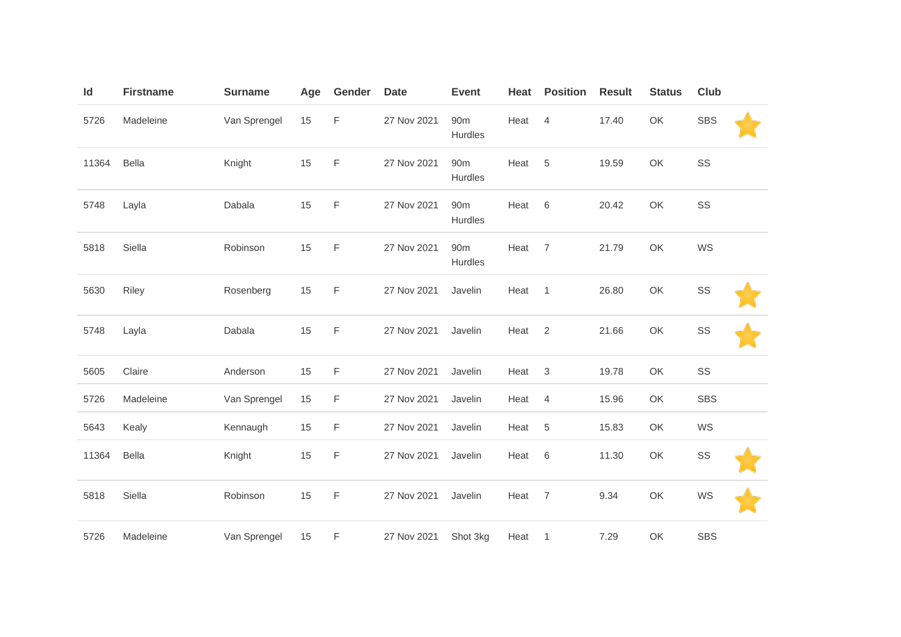| Id    | <b>Firstname</b> | <b>Surname</b> | Age | Gender      | <b>Date</b> | <b>Event</b>               | Heat | <b>Position</b> | <b>Result</b> | <b>Status</b> | <b>Club</b> |  |
|-------|------------------|----------------|-----|-------------|-------------|----------------------------|------|-----------------|---------------|---------------|-------------|--|
| 5726  | Madeleine        | Van Sprengel   | 15  | F           | 27 Nov 2021 | 90 <sub>m</sub><br>Hurdles | Heat | $\overline{4}$  | 17.40         | OK            | <b>SBS</b>  |  |
| 11364 | <b>Bella</b>     | Knight         | 15  | $\mathsf F$ | 27 Nov 2021 | 90m<br>Hurdles             | Heat | $\sqrt{5}$      | 19.59         | OK            | SS          |  |
| 5748  | Layla            | Dabala         | 15  | $\mathsf F$ | 27 Nov 2021 | 90 <sub>m</sub><br>Hurdles | Heat | $\,6\,$         | 20.42         | OK            | SS          |  |
| 5818  | Siella           | Robinson       | 15  | $\mathsf F$ | 27 Nov 2021 | 90 <sub>m</sub><br>Hurdles | Heat | $\overline{7}$  | 21.79         | OK            | WS          |  |
| 5630  | Riley            | Rosenberg      | 15  | $\mathsf F$ | 27 Nov 2021 | Javelin                    | Heat | $\overline{1}$  | 26.80         | OK            | SS          |  |
| 5748  | Layla            | Dabala         | 15  | F           | 27 Nov 2021 | Javelin                    | Heat | 2               | 21.66         | OK            | SS          |  |
| 5605  | Claire           | Anderson       | 15  | $\mathsf F$ | 27 Nov 2021 | Javelin                    | Heat | $\mathbf{3}$    | 19.78         | OK            | SS          |  |
| 5726  | Madeleine        | Van Sprengel   | 15  | F           | 27 Nov 2021 | Javelin                    | Heat | 4               | 15.96         | OK            | <b>SBS</b>  |  |
| 5643  | Kealy            | Kennaugh       | 15  | $\mathsf F$ | 27 Nov 2021 | Javelin                    | Heat | $\,$ 5 $\,$     | 15.83         | OK            | WS          |  |
| 11364 | Bella            | Knight         | 15  | $\mathsf F$ | 27 Nov 2021 | Javelin                    | Heat | $\,6$           | 11.30         | OK            | SS          |  |
| 5818  | Siella           | Robinson       | 15  | F           | 27 Nov 2021 | Javelin                    | Heat | $\overline{7}$  | 9.34          | OK            | WS          |  |
| 5726  | Madeleine        | Van Sprengel   | 15  | F           | 27 Nov 2021 | Shot 3kg                   | Heat | $\mathbf{1}$    | 7.29          | OK            | <b>SBS</b>  |  |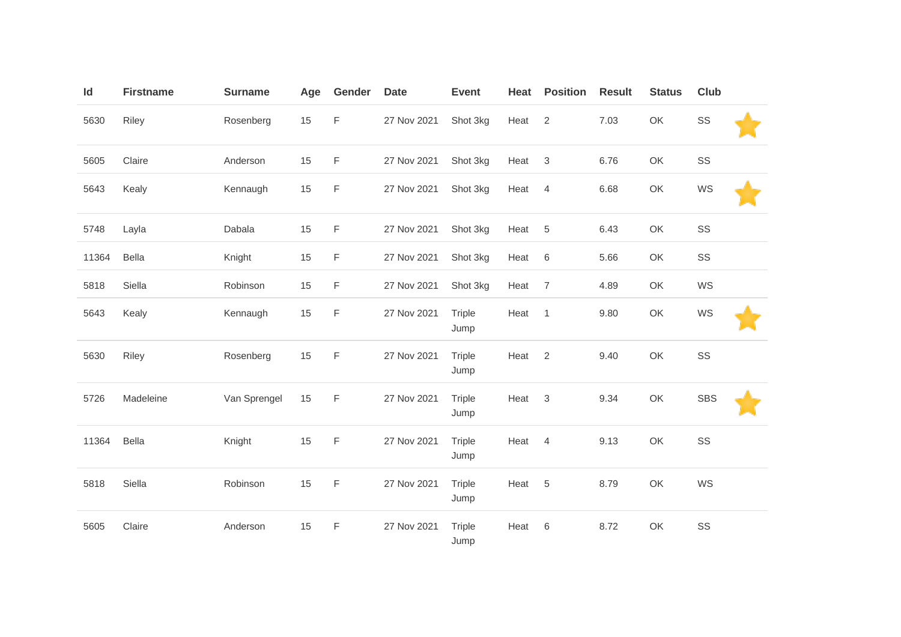| Id    | <b>Firstname</b> | <b>Surname</b> | Age | Gender      | <b>Date</b> | <b>Event</b>   | Heat | <b>Position</b> | <b>Result</b> | <b>Status</b> | <b>Club</b> |
|-------|------------------|----------------|-----|-------------|-------------|----------------|------|-----------------|---------------|---------------|-------------|
| 5630  | Riley            | Rosenberg      | 15  | F           | 27 Nov 2021 | Shot 3kg       | Heat | 2               | 7.03          | OK            | SS          |
| 5605  | Claire           | Anderson       | 15  | F           | 27 Nov 2021 | Shot 3kg       | Heat | 3               | 6.76          | OK            | SS          |
| 5643  | Kealy            | Kennaugh       | 15  | $\mathsf F$ | 27 Nov 2021 | Shot 3kg       | Heat | $\overline{4}$  | 6.68          | OK            | WS          |
| 5748  | Layla            | Dabala         | 15  | F           | 27 Nov 2021 | Shot 3kg       | Heat | 5               | 6.43          | OK            | SS          |
| 11364 | Bella            | Knight         | 15  | F           | 27 Nov 2021 | Shot 3kg       | Heat | 6               | 5.66          | OK            | SS          |
| 5818  | Siella           | Robinson       | 15  | F           | 27 Nov 2021 | Shot 3kg       | Heat | $\overline{7}$  | 4.89          | OK            | WS          |
| 5643  | Kealy            | Kennaugh       | 15  | $\mathsf F$ | 27 Nov 2021 | Triple<br>Jump | Heat | $\overline{1}$  | 9.80          | OK            | WS          |
| 5630  | Riley            | Rosenberg      | 15  | $\mathsf F$ | 27 Nov 2021 | Triple<br>Jump | Heat | 2               | 9.40          | OK            | SS          |
| 5726  | Madeleine        | Van Sprengel   | 15  | $\mathsf F$ | 27 Nov 2021 | Triple<br>Jump | Heat | 3               | 9.34          | OK            | <b>SBS</b>  |
| 11364 | <b>Bella</b>     | Knight         | 15  | F           | 27 Nov 2021 | Triple<br>Jump | Heat | $\overline{4}$  | 9.13          | OK            | SS          |
| 5818  | Siella           | Robinson       | 15  | F           | 27 Nov 2021 | Triple<br>Jump | Heat | $\,$ 5 $\,$     | 8.79          | OK            | WS          |
| 5605  | Claire           | Anderson       | 15  | $\mathsf F$ | 27 Nov 2021 | Triple<br>Jump | Heat | 6               | 8.72          | OK            | SS          |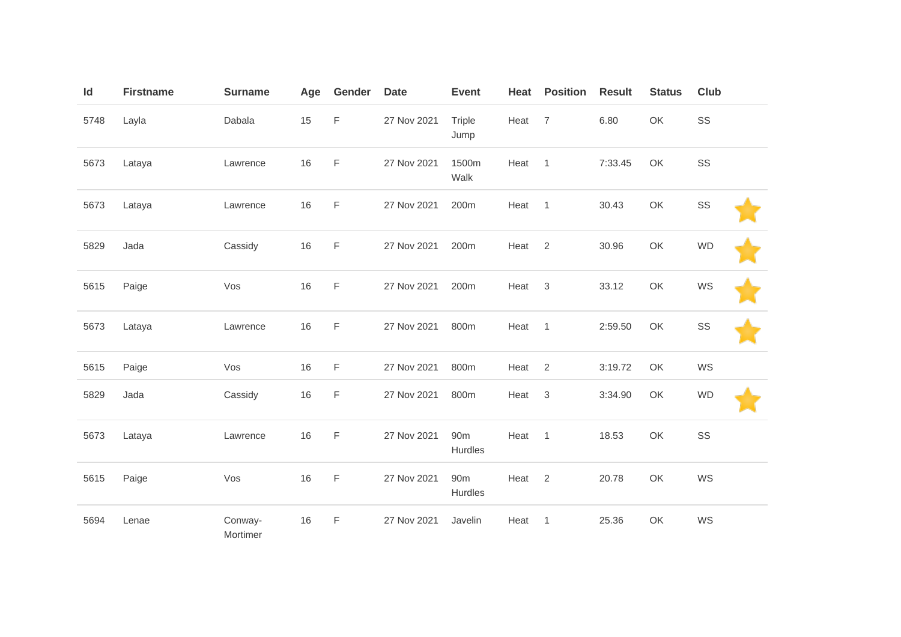| $\mathsf{Id}$ | <b>Firstname</b> | <b>Surname</b>      | Age  | Gender      | <b>Date</b> | <b>Event</b>               | Heat | <b>Position</b> | <b>Result</b> | <b>Status</b> | Club      |
|---------------|------------------|---------------------|------|-------------|-------------|----------------------------|------|-----------------|---------------|---------------|-----------|
| 5748          | Layla            | Dabala              | 15   | $\mathsf F$ | 27 Nov 2021 | Triple<br>Jump             | Heat | $\overline{7}$  | 6.80          | OK            | SS        |
| 5673          | Lataya           | Lawrence            | 16   | F           | 27 Nov 2021 | 1500m<br>Walk              | Heat | $\overline{1}$  | 7:33.45       | OK            | SS        |
| 5673          | Lataya           | Lawrence            | 16   | F           | 27 Nov 2021 | 200m                       | Heat | $\overline{1}$  | 30.43         | OK            | SS        |
| 5829          | Jada             | Cassidy             | 16   | $\mathsf F$ | 27 Nov 2021 | 200m                       | Heat | $\overline{2}$  | 30.96         | OK            | <b>WD</b> |
| 5615          | Paige            | Vos                 | 16   | F           | 27 Nov 2021 | 200m                       | Heat | $\mathbf{3}$    | 33.12         | OK            | WS        |
| 5673          | Lataya           | Lawrence            | $16$ | $\mathsf F$ | 27 Nov 2021 | 800m                       | Heat | $\overline{1}$  | 2:59.50       | OK            | SS        |
| 5615          | Paige            | Vos                 | 16   | F           | 27 Nov 2021 | 800m                       | Heat | 2               | 3:19.72       | OK            | WS        |
| 5829          | Jada             | Cassidy             | 16   | $\mathsf F$ | 27 Nov 2021 | 800m                       | Heat | 3               | 3:34.90       | OK            | <b>WD</b> |
| 5673          | Lataya           | Lawrence            | 16   | F           | 27 Nov 2021 | 90 <sub>m</sub><br>Hurdles | Heat | $\overline{1}$  | 18.53         | OK            | SS        |
| 5615          | Paige            | Vos                 | 16   | $\mathsf F$ | 27 Nov 2021 | 90 <sub>m</sub><br>Hurdles | Heat | $\overline{2}$  | 20.78         | OK            | WS        |
| 5694          | Lenae            | Conway-<br>Mortimer | 16   | F           | 27 Nov 2021 | Javelin                    | Heat | $\overline{1}$  | 25.36         | OK            | WS        |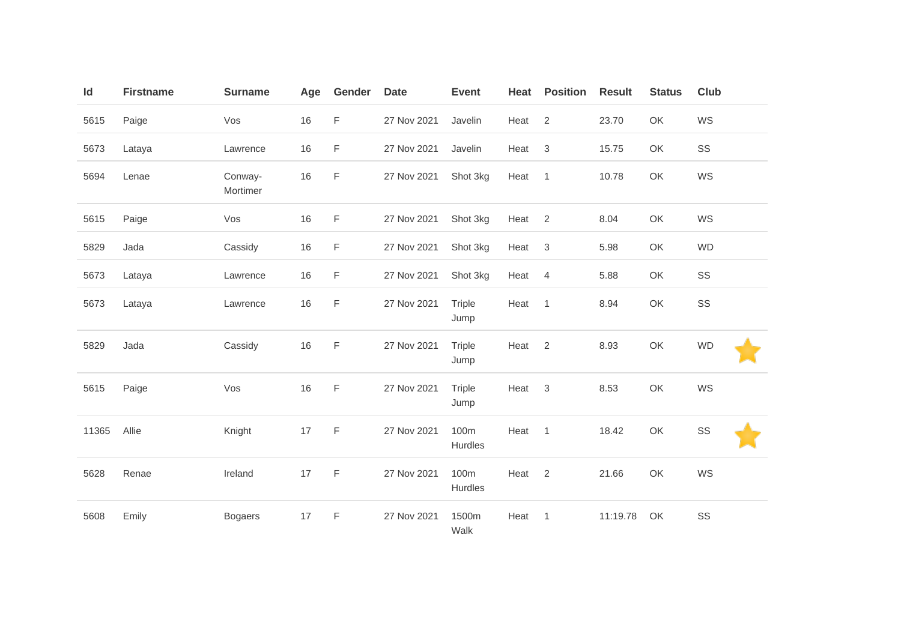| Id    | <b>Firstname</b> | <b>Surname</b>      | Age | Gender      | <b>Date</b> | <b>Event</b>    | Heat | <b>Position</b> | <b>Result</b> | <b>Status</b> | Club      |
|-------|------------------|---------------------|-----|-------------|-------------|-----------------|------|-----------------|---------------|---------------|-----------|
| 5615  | Paige            | Vos                 | 16  | F           | 27 Nov 2021 | Javelin         | Heat | 2               | 23.70         | OK            | WS        |
| 5673  | Lataya           | Lawrence            | 16  | F           | 27 Nov 2021 | Javelin         | Heat | $\sqrt{3}$      | 15.75         | OK            | SS        |
| 5694  | Lenae            | Conway-<br>Mortimer | 16  | F           | 27 Nov 2021 | Shot 3kg        | Heat | $\overline{1}$  | 10.78         | OK            | WS        |
| 5615  | Paige            | Vos                 | 16  | F           | 27 Nov 2021 | Shot 3kg        | Heat | 2               | 8.04          | OK            | WS        |
| 5829  | Jada             | Cassidy             | 16  | F           | 27 Nov 2021 | Shot 3kg        | Heat | $\sqrt{3}$      | 5.98          | OK            | <b>WD</b> |
| 5673  | Lataya           | Lawrence            | 16  | F           | 27 Nov 2021 | Shot 3kg        | Heat | 4               | 5.88          | OK            | SS        |
| 5673  | Lataya           | Lawrence            | 16  | F           | 27 Nov 2021 | Triple<br>Jump  | Heat | $\overline{1}$  | 8.94          | OK            | SS        |
| 5829  | Jada             | Cassidy             | 16  | $\mathsf F$ | 27 Nov 2021 | Triple<br>Jump  | Heat | 2               | 8.93          | OK            | <b>WD</b> |
| 5615  | Paige            | Vos                 | 16  | F           | 27 Nov 2021 | Triple<br>Jump  | Heat | 3               | 8.53          | OK            | WS        |
| 11365 | Allie            | Knight              | 17  | F           | 27 Nov 2021 | 100m<br>Hurdles | Heat | $\overline{1}$  | 18.42         | OK            | SS        |
| 5628  | Renae            | Ireland             | 17  | $\mathsf F$ | 27 Nov 2021 | 100m<br>Hurdles | Heat | 2               | 21.66         | OK            | WS        |
| 5608  | Emily            | <b>Bogaers</b>      | 17  | F           | 27 Nov 2021 | 1500m<br>Walk   | Heat | $\overline{1}$  | 11:19.78      | OK            | SS        |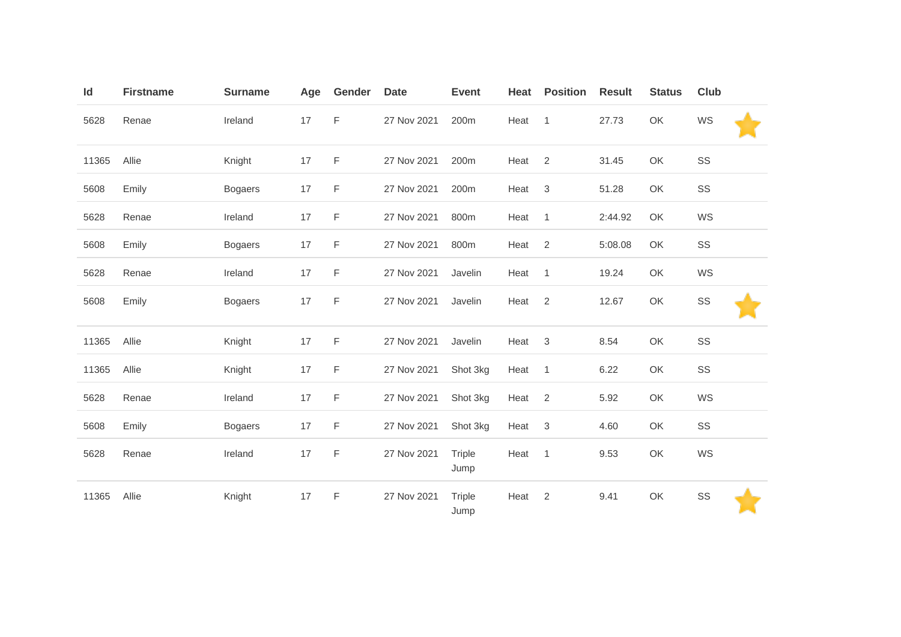| Id    | <b>Firstname</b> | <b>Surname</b> | Age | Gender      | <b>Date</b> | <b>Event</b>     | Heat | <b>Position</b> | <b>Result</b> | <b>Status</b> | <b>Club</b> |  |
|-------|------------------|----------------|-----|-------------|-------------|------------------|------|-----------------|---------------|---------------|-------------|--|
| 5628  | Renae            | Ireland        | 17  | F           | 27 Nov 2021 | 200m             | Heat | $\overline{1}$  | 27.73         | OK            | WS          |  |
| 11365 | Allie            | Knight         | 17  | F           | 27 Nov 2021 | 200m             | Heat | 2               | 31.45         | OK            | SS          |  |
| 5608  | Emily            | <b>Bogaers</b> | 17  | F           | 27 Nov 2021 | 200 <sub>m</sub> | Heat | 3               | 51.28         | OK            | SS          |  |
| 5628  | Renae            | Ireland        | 17  | F           | 27 Nov 2021 | 800m             | Heat | $\overline{1}$  | 2:44.92       | OK            | WS          |  |
| 5608  | Emily            | <b>Bogaers</b> | 17  | $\mathsf F$ | 27 Nov 2021 | 800m             | Heat | 2               | 5:08.08       | OK            | SS          |  |
| 5628  | Renae            | Ireland        | 17  | F           | 27 Nov 2021 | Javelin          | Heat | $\overline{1}$  | 19.24         | OK            | WS          |  |
| 5608  | Emily            | <b>Bogaers</b> | 17  | F           | 27 Nov 2021 | Javelin          | Heat | $\overline{2}$  | 12.67         | OK            | SS          |  |
| 11365 | Allie            | Knight         | 17  | F           | 27 Nov 2021 | Javelin          | Heat | 3               | 8.54          | OK            | SS          |  |
| 11365 | Allie            | Knight         | 17  | F           | 27 Nov 2021 | Shot 3kg         | Heat | $\overline{1}$  | 6.22          | OK            | SS          |  |
| 5628  | Renae            | Ireland        | 17  | F           | 27 Nov 2021 | Shot 3kg         | Heat | 2               | 5.92          | OK            | WS          |  |
| 5608  | Emily            | <b>Bogaers</b> | 17  | $\mathsf F$ | 27 Nov 2021 | Shot 3kg         | Heat | $\mathbf{3}$    | 4.60          | OK            | SS          |  |
| 5628  | Renae            | Ireland        | 17  | $\mathsf F$ | 27 Nov 2021 | Triple<br>Jump   | Heat | $\overline{1}$  | 9.53          | OK            | WS          |  |
| 11365 | Allie            | Knight         | 17  | F           | 27 Nov 2021 | Triple<br>Jump   | Heat | 2               | 9.41          | OK            | SS          |  |